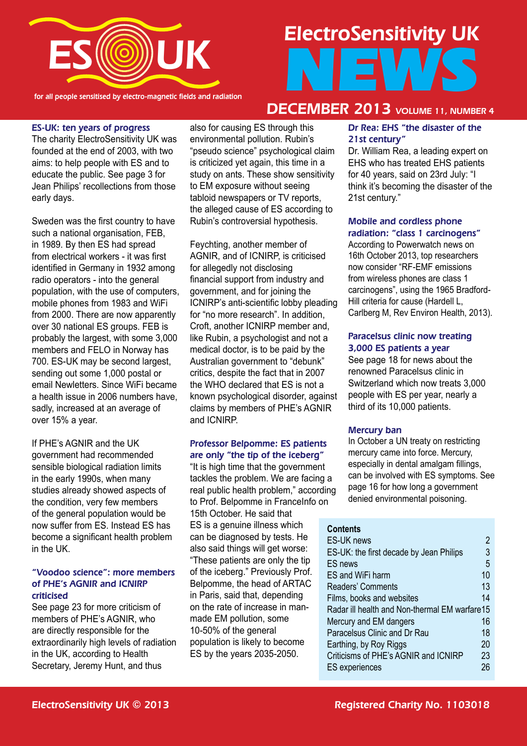

for all people sensitised by electro-magnetic fields and radiation

# ElectroSensitivity UK NEWS

#### ES-UK: ten years of progress

The charity ElectroSensitivity UK was founded at the end of 2003, with two aims: to help people with ES and to educate the public. See page 3 for Jean Philips' recollections from those early days.

Sweden was the first country to have such a national organisation, FEB, in 1989. By then ES had spread from electrical workers - it was first identified in Germany in 1932 among radio operators - into the general population, with the use of computers, mobile phones from 1983 and WiFi from 2000. There are now apparently over 30 national ES groups. FEB is probably the largest, with some 3,000 members and FELO in Norway has 700. ES-UK may be second largest, sending out some 1,000 postal or email Newletters. Since WiFi became a health issue in 2006 numbers have, sadly, increased at an average of over 15% a year.

If PHE's AGNIR and the UK government had recommended sensible biological radiation limits in the early 1990s, when many studies already showed aspects of the condition, very few members of the general population would be now suffer from ES. Instead ES has become a significant health problem in the UK.

#### "Voodoo science": more members of PHE's AGNIR and ICNIRP criticised

See page 23 for more criticism of members of PHE's AGNIR, who are directly responsible for the extraordinarily high levels of radiation in the UK, according to Health Secretary, Jeremy Hunt, and thus

also for causing ES through this environmental pollution. Rubin's "pseudo science" psychological claim is criticized yet again, this time in a study on ants. These show sensitivity to EM exposure without seeing tabloid newspapers or TV reports, the alleged cause of ES according to Rubin's controversial hypothesis.

Feychting, another member of AGNIR, and of ICNIRP, is criticised for allegedly not disclosing financial support from industry and government, and for joining the ICNIRP's anti-scientific lobby pleading for "no more research". In addition, Croft, another ICNIRP member and like Rubin, a psychologist and not a medical doctor, is to be paid by the Australian government to "debunk" critics, despite the fact that in 2007 the WHO declared that ES is not a known psychological disorder, against claims by members of PHE's AGNIR and ICNIRP.

#### Professor Belpomme: ES patients are only "the tip of the iceberg"

"It is high time that the government tackles the problem. We are facing a real public health problem," according to Prof. Belpomme in FranceInfo on 15th October. He said that ES is a genuine illness which can be diagnosed by tests. He also said things will get worse: "These patients are only the tip of the iceberg." Previously Prof. Belpomme, the head of ARTAC in Paris, said that, depending on the rate of increase in manmade EM pollution, some 10-50% of the general population is likely to become ES by the years 2035-2050.

#### Dr Rea: EHS "the disaster of the DECEMBER 2013 VOLUME 11, NUMBER 4

# 21st century"

Dr. William Rea, a leading expert on EHS who has treated EHS patients for 40 years, said on 23rd July: "I think it's becoming the disaster of the 21st century."

#### Mobile and cordless phone radiation: "class 1 carcinogens"

According to Powerwatch news on 16th October 2013, top researchers now consider "RF-EMF emissions from wireless phones are class 1 carcinogens", using the 1965 Bradford-Hill criteria for cause (Hardell L, Carlberg M, Rev Environ Health, 2013).

#### Paracelsus clinic now treating 3,000 ES patients a year

See page 18 for news about the renowned Paracelsus clinic in Switzerland which now treats 3,000 people with ES per year, nearly a third of its 10,000 patients.

#### Mercury ban

In October a UN treaty on restricting mercury came into force. Mercury, especially in dental amalgam fillings, can be involved with ES symptoms. See page 16 for how long a government denied environmental poisoning.

#### **Contents**

| <b>ES-UK news</b>                             |    |
|-----------------------------------------------|----|
| ES-UK: the first decade by Jean Philips       | 3  |
| <b>ES</b> news                                | 5  |
| ES and WiFi harm                              | 10 |
| Readers' Comments                             | 13 |
| Films, books and websites                     | 14 |
| Radar ill health and Non-thermal EM warfare15 |    |
| Mercury and EM dangers                        | 16 |
| Paracelsus Clinic and Dr Rau                  | 18 |
| Earthing, by Roy Riggs                        | 20 |
| Criticisms of PHE's AGNIR and ICNIRP          | 23 |
| <b>ES</b> experiences                         | 26 |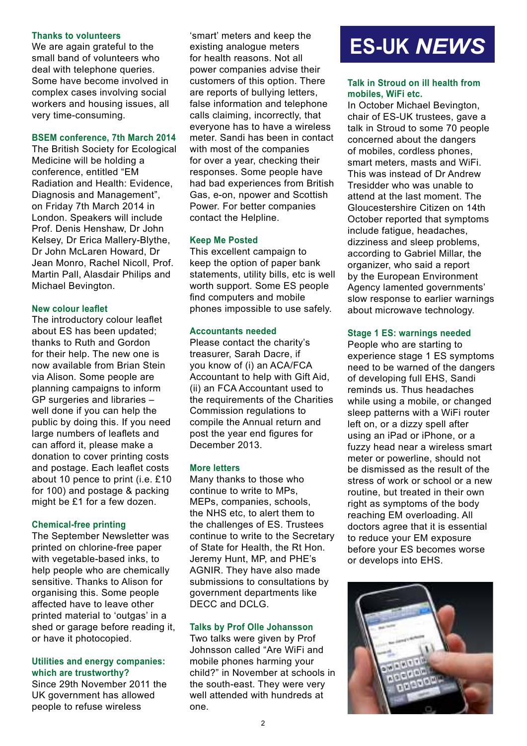#### **Thanks to volunteers**

We are again grateful to the small band of volunteers who deal with telephone queries. Some have become involved in complex cases involving social workers and housing issues, all very time-consuming.

#### **BSEM conference, 7th March 2014**

The British Society for Ecological Medicine will be holding a conference, entitled "EM Radiation and Health: Evidence, Diagnosis and Management", on Friday 7th March 2014 in London. Speakers will include Prof. Denis Henshaw, Dr John Kelsey, Dr Erica Mallery-Blythe, Dr John McLaren Howard, Dr Jean Monro, Rachel Nicoll, Prof. Martin Pall, Alasdair Philips and Michael Bevington.

#### **New colour leaflet**

The introductory colour leaflet about ES has been updated; thanks to Ruth and Gordon for their help. The new one is now available from Brian Stein via Alison. Some people are planning campaigns to inform GP surgeries and libraries – well done if you can help the public by doing this. If you need large numbers of leaflets and can afford it, please make a donation to cover printing costs and postage. Each leaflet costs about 10 pence to print (i.e. £10 for 100) and postage & packing might be £1 for a few dozen.

#### **Chemical-free printing**

The September Newsletter was printed on chlorine-free paper with vegetable-based inks, to help people who are chemically sensitive. Thanks to Alison for organising this. Some people affected have to leave other printed material to 'outgas' in a shed or garage before reading it, or have it photocopied.

#### **Utilities and energy companies: which are trustworthy?**

Since 29th November 2011 the UK government has allowed people to refuse wireless

'smart' meters and keep the existing analogue meters for health reasons. Not all power companies advise their customers of this option. There are reports of bullying letters, false information and telephone calls claiming, incorrectly, that everyone has to have a wireless meter. Sandi has been in contact with most of the companies for over a year, checking their responses. Some people have had bad experiences from British Gas, e-on, npower and Scottish Power. For better companies contact the Helpline.

#### **Keep Me Posted**

This excellent campaign to keep the option of paper bank statements, utility bills, etc is well worth support. Some ES people find computers and mobile phones impossible to use safely.

#### **Accountants needed**

Please contact the charity's treasurer, Sarah Dacre, if you know of (i) an ACA/FCA Accountant to help with Gift Aid, (ii) an FCA Accountant used to the requirements of the Charities Commission regulations to compile the Annual return and post the year end figures for December 2013.

#### **More letters**

Many thanks to those who continue to write to MPs, MEPs, companies, schools, the NHS etc, to alert them to the challenges of ES. Trustees continue to write to the Secretary of State for Health, the Rt Hon. Jeremy Hunt, MP, and PHE's AGNIR. They have also made submissions to consultations by government departments like DECC and DCLG.

#### **Talks by Prof Olle Johansson**

Two talks were given by Prof Johnsson called "Are WiFi and mobile phones harming your child?" in November at schools in the south-east. They were very well attended with hundreds at one.

# **ES-UK** *NEWS*

#### **Talk in Stroud on ill health from mobiles, WiFi etc.**

In October Michael Bevington, chair of ES-UK trustees, gave a talk in Stroud to some 70 people concerned about the dangers of mobiles, cordless phones, smart meters, masts and WiFi. This was instead of Dr Andrew Tresidder who was unable to attend at the last moment. The Gloucestershire Citizen on 14th October reported that symptoms include fatigue, headaches, dizziness and sleep problems, according to Gabriel Millar, the organizer, who said a report by the European Environment Agency lamented governments' slow response to earlier warnings about microwave technology.

#### **Stage 1 ES: warnings needed**

People who are starting to experience stage 1 ES symptoms need to be warned of the dangers of developing full EHS, Sandi reminds us. Thus headaches while using a mobile, or changed sleep patterns with a WiFi router left on, or a dizzy spell after using an iPad or iPhone, or a fuzzy head near a wireless smart meter or powerline, should not be dismissed as the result of the stress of work or school or a new routine, but treated in their own right as symptoms of the body reaching EM overloading. All doctors agree that it is essential to reduce your EM exposure before your ES becomes worse or develops into EHS.

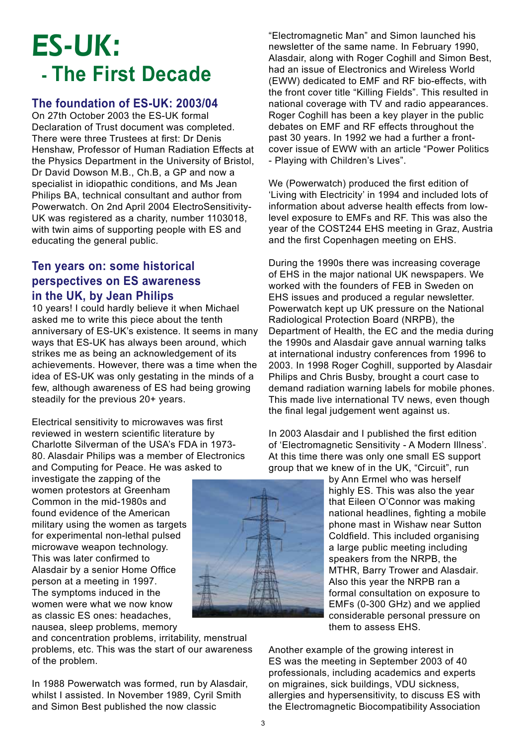# ES-UK:  **- The First Decade**

#### **The foundation of ES-UK: 2003/04**

On 27th October 2003 the ES-UK formal Declaration of Trust document was completed. There were three Trustees at first: Dr Denis Henshaw, Professor of Human Radiation Effects at the Physics Department in the University of Bristol, Dr David Dowson M.B., Ch.B, a GP and now a specialist in idiopathic conditions, and Ms Jean Philips BA, technical consultant and author from Powerwatch. On 2nd April 2004 ElectroSensitivity-UK was registered as a charity, number 1103018, with twin aims of supporting people with ES and educating the general public.

#### **Ten years on: some historical perspectives on ES awareness in the UK, by Jean Philips**

10 years! I could hardly believe it when Michael asked me to write this piece about the tenth anniversary of ES-UK's existence. It seems in many ways that ES-UK has always been around, which strikes me as being an acknowledgement of its achievements. However, there was a time when the idea of ES-UK was only gestating in the minds of a few, although awareness of ES had being growing steadily for the previous 20+ years.

Electrical sensitivity to microwaves was first reviewed in western scientific literature by Charlotte Silverman of the USA's FDA in 1973- 80. Alasdair Philips was a member of Electronics and Computing for Peace. He was asked to

investigate the zapping of the women protestors at Greenham Common in the mid-1980s and found evidence of the American military using the women as targets for experimental non-lethal pulsed microwave weapon technology. This was later confirmed to Alasdair by a senior Home Office person at a meeting in 1997. The symptoms induced in the women were what we now know as classic ES ones: headaches, nausea, sleep problems, memory

and concentration problems, irritability, menstrual problems, etc. This was the start of our awareness of the problem.

In 1988 Powerwatch was formed, run by Alasdair, whilst I assisted. In November 1989, Cyril Smith and Simon Best published the now classic



"Electromagnetic Man" and Simon launched his newsletter of the same name. In February 1990, Alasdair, along with Roger Coghill and Simon Best, had an issue of Electronics and Wireless World (EWW) dedicated to EMF and RF bio-effects, with the front cover title "Killing Fields". This resulted in national coverage with TV and radio appearances. Roger Coghill has been a key player in the public debates on EMF and RF effects throughout the past 30 years. In 1992 we had a further a frontcover issue of EWW with an article "Power Politics - Playing with Children's Lives".

We (Powerwatch) produced the first edition of 'Living with Electricity' in 1994 and included lots of information about adverse health effects from lowlevel exposure to EMFs and RF. This was also the year of the COST244 EHS meeting in Graz, Austria and the first Copenhagen meeting on EHS.

During the 1990s there was increasing coverage of EHS in the major national UK newspapers. We worked with the founders of FEB in Sweden on EHS issues and produced a regular newsletter. Powerwatch kept up UK pressure on the National Radiological Protection Board (NRPB), the Department of Health, the EC and the media during the 1990s and Alasdair gave annual warning talks at international industry conferences from 1996 to 2003. In 1998 Roger Coghill, supported by Alasdair Philips and Chris Busby, brought a court case to demand radiation warning labels for mobile phones. This made live international TV news, even though the final legal judgement went against us.

In 2003 Alasdair and I published the first edition of 'Electromagnetic Sensitivity - A Modern Illness'. At this time there was only one small ES support group that we knew of in the UK, "Circuit", run

> by Ann Ermel who was herself highly ES. This was also the year that Eileen O'Connor was making national headlines, fighting a mobile phone mast in Wishaw near Sutton Coldfield. This included organising a large public meeting including speakers from the NRPB, the MTHR, Barry Trower and Alasdair. Also this year the NRPB ran a formal consultation on exposure to EMFs (0-300 GHz) and we applied considerable personal pressure on them to assess EHS.

Another example of the growing interest in ES was the meeting in September 2003 of 40 professionals, including academics and experts on migraines, sick buildings, VDU sickness, allergies and hypersensitivity, to discuss ES with the Electromagnetic Biocompatibility Association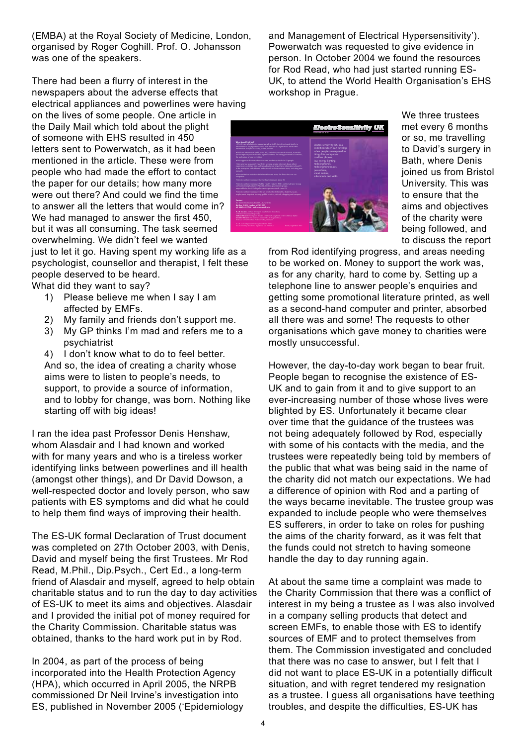(EMBA) at the Royal Society of Medicine, London, organised by Roger Coghill. Prof. O. Johansson was one of the speakers.

There had been a flurry of interest in the newspapers about the adverse effects that electrical appliances and powerlines were having on the lives of some people. One article in the Daily Mail which told about the plight

of someone with EHS resulted in 450 letters sent to Powerwatch, as it had been mentioned in the article. These were from people who had made the effort to contact the paper for our details; how many more were out there? And could we find the time to answer all the letters that would come in? We had managed to answer the first 450, but it was all consuming. The task seemed overwhelming. We didn't feel we wanted just to let it go. Having spent my working life as a

psychologist, counsellor and therapist, I felt these people deserved to be heard.

What did they want to say?

- 1) Please believe me when I say I am affected by EMFs.
- 2) My family and friends don't support me.
- 3) My GP thinks I'm mad and refers me to a psychiatrist

4) I don't know what to do to feel better. And so, the idea of creating a charity whose aims were to listen to people's needs, to support, to provide a source of information, and to lobby for change, was born. Nothing like starting off with big ideas!

I ran the idea past Professor Denis Henshaw, whom Alasdair and I had known and worked with for many years and who is a tireless worker identifying links between powerlines and ill health (amongst other things), and Dr David Dowson, a well-respected doctor and lovely person, who saw patients with ES symptoms and did what he could to help them find ways of improving their health.

The ES-UK formal Declaration of Trust document was completed on 27th October 2003, with Denis, David and myself being the first Trustees. Mr Rod Read, M.Phil., Dip.Psych., Cert Ed., a long-term friend of Alasdair and myself, agreed to help obtain charitable status and to run the day to day activities of ES-UK to meet its aims and objectives. Alasdair and I provided the initial pot of money required for the Charity Commission. Charitable status was obtained, thanks to the hard work put in by Rod.

In 2004, as part of the process of being incorporated into the Health Protection Agency (HPA), which occurred in April 2005, the NRPB commissioned Dr Neil Irvine's investigation into ES, published in November 2005 ('Epidemiology and Management of Electrical Hypersensitivity'). Powerwatch was requested to give evidence in person. In October 2004 we found the resources for Rod Read, who had just started running ES-UK, to attend the World Health Organisation's EHS workshop in Prague.



We three trustees met every 6 months or so, me travelling to David's surgery in Bath, where Denis joined us from Bristol University. This was to ensure that the aims and objectives of the charity were being followed, and to discuss the report

from Rod identifying progress, and areas needing to be worked on. Money to support the work was, as for any charity, hard to come by. Setting up a telephone line to answer people's enquiries and getting some promotional literature printed, as well as a second-hand computer and printer, absorbed all there was and some! The requests to other organisations which gave money to charities were mostly unsuccessful.

However, the day-to-day work began to bear fruit. People began to recognise the existence of ES-UK and to gain from it and to give support to an ever-increasing number of those whose lives were blighted by ES. Unfortunately it became clear over time that the guidance of the trustees was not being adequately followed by Rod, especially with some of his contacts with the media, and the trustees were repeatedly being told by members of the public that what was being said in the name of the charity did not match our expectations. We had a difference of opinion with Rod and a parting of the ways became inevitable. The trustee group was expanded to include people who were themselves ES sufferers, in order to take on roles for pushing the aims of the charity forward, as it was felt that the funds could not stretch to having someone handle the day to day running again.

At about the same time a complaint was made to the Charity Commission that there was a conflict of interest in my being a trustee as I was also involved in a company selling products that detect and screen EMFs, to enable those with ES to identify sources of EMF and to protect themselves from them. The Commission investigated and concluded that there was no case to answer, but I felt that I did not want to place ES-UK in a potentially difficult situation, and with regret tendered my resignation as a trustee. I guess all organisations have teething troubles, and despite the difficulties, ES-UK has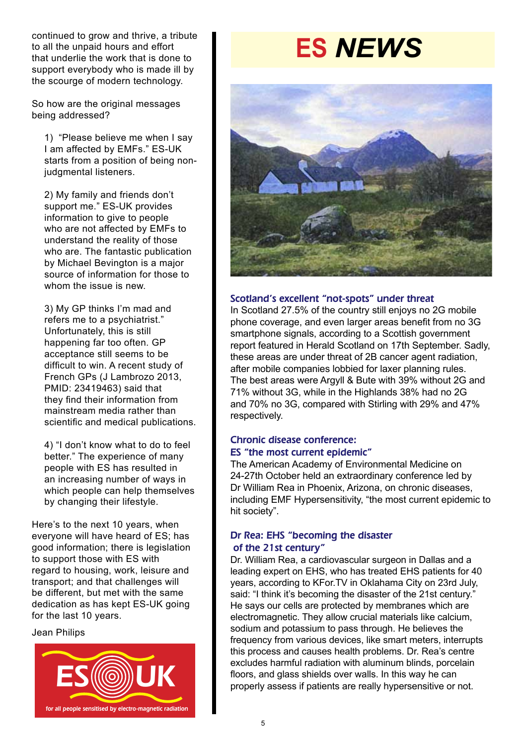continued to grow and thrive, a tribute to all the unpaid hours and effort that underlie the work that is done to support everybody who is made ill by the scourge of modern technology.

So how are the original messages being addressed?

1) "Please believe me when I say I am affected by EMFs." ES-UK starts from a position of being nonjudgmental listeners.

2) My family and friends don't support me." ES-UK provides information to give to people who are not affected by EMFs to understand the reality of those who are. The fantastic publication by Michael Bevington is a major source of information for those to whom the issue is new.

3) My GP thinks I'm mad and refers me to a psychiatrist." Unfortunately, this is still happening far too often. GP acceptance still seems to be difficult to win. A recent study of French GPs (J Lambrozo 2013, PMID: 23419463) said that they find their information from mainstream media rather than scientific and medical publications.

4) "I don't know what to do to feel better." The experience of many people with ES has resulted in an increasing number of ways in which people can help themselves by changing their lifestyle.

Here's to the next 10 years, when everyone will have heard of ES; has good information; there is legislation to support those with ES with regard to housing, work, leisure and transport; and that challenges will be different, but met with the same dedication as has kept ES-UK going for the last 10 years.

Jean Philips



# **ES** *NEWS*



#### Scotland's excellent "not-spots" under threat

In Scotland 27.5% of the country still enjoys no 2G mobile phone coverage, and even larger areas benefit from no 3G smartphone signals, according to a Scottish government report featured in Herald Scotland on 17th September. Sadly, these areas are under threat of 2B cancer agent radiation, after mobile companies lobbied for laxer planning rules. The best areas were Argyll & Bute with 39% without 2G and 71% without 3G, while in the Highlands 38% had no 2G and 70% no 3G, compared with Stirling with 29% and 47% respectively.

#### Chronic disease conference: ES "the most current epidemic"

The American Academy of Environmental Medicine on 24-27th October held an extraordinary conference led by Dr William Rea in Phoenix, Arizona, on chronic diseases, including EMF Hypersensitivity, "the most current epidemic to hit society".

#### Dr Rea: EHS "becoming the disaster of the 21st century"

Dr. William Rea, a cardiovascular surgeon in Dallas and a leading expert on EHS, who has treated EHS patients for 40 years, according to KFor.TV in Oklahama City on 23rd July, said: "I think it's becoming the disaster of the 21st century." He says our cells are protected by membranes which are electromagnetic. They allow crucial materials like calcium, sodium and potassium to pass through. He believes the frequency from various devices, like smart meters, interrupts this process and causes health problems. Dr. Rea's centre excludes harmful radiation with aluminum blinds, porcelain floors, and glass shields over walls. In this way he can properly assess if patients are really hypersensitive or not.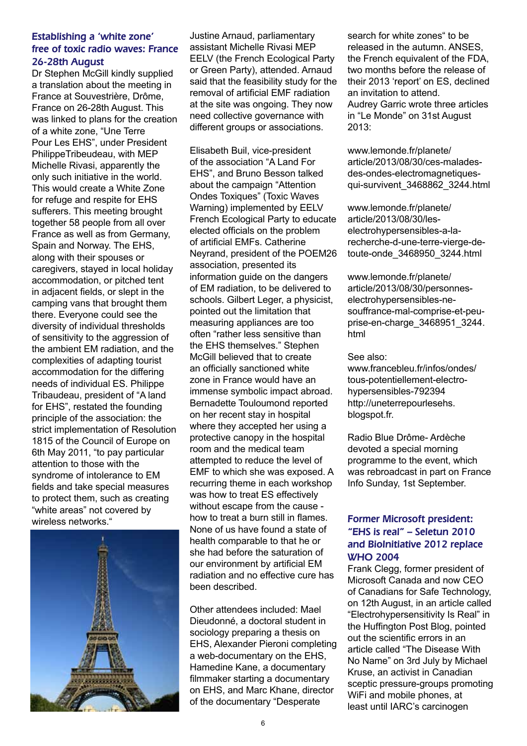#### Establishing a 'white zone' free of toxic radio waves: France 26-28th August

Dr Stephen McGill kindly supplied a translation about the meeting in France at Souvestrière, Drôme, France on 26-28th August. This was linked to plans for the creation of a white zone, "Une Terre Pour Les EHS", under President PhilippeTribeudeau, with MEP Michelle Rivasi, apparently the only such initiative in the world. This would create a White Zone for refuge and respite for EHS sufferers. This meeting brought together 58 people from all over France as well as from Germany, Spain and Norway. The EHS, along with their spouses or caregivers, stayed in local holiday accommodation, or pitched tent in adjacent fields, or slept in the camping vans that brought them there. Everyone could see the diversity of individual thresholds of sensitivity to the aggression of the ambient EM radiation, and the complexities of adapting tourist accommodation for the differing needs of individual ES. Philippe Tribaudeau, president of "A land for EHS", restated the founding principle of the association: the strict implementation of Resolution 1815 of the Council of Europe on 6th May 2011, "to pay particular attention to those with the syndrome of intolerance to EM fields and take special measures to protect them, such as creating "white areas" not covered by wireless networks."



Justine Arnaud, parliamentary assistant Michelle Rivasi MEP EELV (the French Ecological Party or Green Party), attended. Arnaud said that the feasibility study for the removal of artificial EMF radiation at the site was ongoing. They now need collective governance with different groups or associations.

Elisabeth Buil, vice-president of the association "A Land For EHS", and Bruno Besson talked about the campaign "Attention Ondes Toxiques" (Toxic Waves Warning) implemented by EELV French Ecological Party to educate elected officials on the problem of artificial EMFs. Catherine Neyrand, president of the POEM26 association, presented its information guide on the dangers of EM radiation, to be delivered to schools. Gilbert Leger, a physicist, pointed out the limitation that measuring appliances are too often "rather less sensitive than the EHS themselves." Stephen McGill believed that to create an officially sanctioned white zone in France would have an immense symbolic impact abroad. Bernadette Touloumond reported on her recent stay in hospital where they accepted her using a protective canopy in the hospital room and the medical team attempted to reduce the level of EMF to which she was exposed. A recurring theme in each workshop was how to treat ES effectively without escape from the cause how to treat a burn still in flames. None of us have found a state of health comparable to that he or she had before the saturation of our environment by artificial EM radiation and no effective cure has been described.

Other attendees included: Mael Dieudonné, a doctoral student in sociology preparing a thesis on EHS, Alexander Pieroni completing a web-documentary on the EHS, Hamedine Kane, a documentary filmmaker starting a documentary on EHS, and Marc Khane, director of the documentary "Desperate

search for white zones" to be released in the autumn. ANSES, the French equivalent of the FDA, two months before the release of their 2013 'report' on ES, declined an invitation to attend. Audrey Garric wrote three articles in "Le Monde" on 31st August 2013:

www.lemonde.fr/planete/ article/2013/08/30/ces-maladesdes-ondes-electromagnetiquesqui-survivent\_3468862\_3244.html

www.lemonde.fr/planete/ article/2013/08/30/leselectrohypersensibles-a-larecherche-d-une-terre-vierge-detoute-onde\_3468950\_3244.html

www.lemonde.fr/planete/ article/2013/08/30/personneselectrohypersensibles-nesouffrance-mal-comprise-et-peuprise-en-charge\_3468951\_3244. html

#### See also:

www.francebleu.fr/infos/ondes/ tous-potentiellement-electrohypersensibles-792394 http://uneterrepourlesehs. blogspot.fr.

Radio Blue Drôme- Ardèche devoted a special morning programme to the event, which was rebroadcast in part on France Info Sunday, 1st September.

#### Former Microsoft president: "EHS is real" – Seletun 2010 and BioInitiative 2012 replace WHO 2004

Frank Clegg, former president of Microsoft Canada and now CEO of Canadians for Safe Technology, on 12th August, in an article called "Electrohypersensitivity Is Real" in the Huffington Post Blog, pointed out the scientific errors in an article called "The Disease With No Name" on 3rd July by Michael Kruse, an activist in Canadian sceptic pressure-groups promoting WiFi and mobile phones, at least until IARC's carcinogen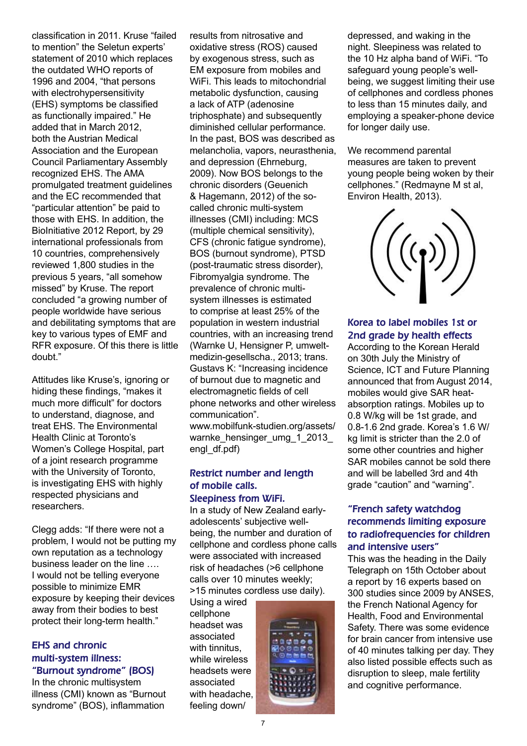classification in 2011. Kruse "failed to mention" the Seletun experts' statement of 2010 which replaces the outdated WHO reports of 1996 and 2004, "that persons with electrohypersensitivity (EHS) symptoms be classified as functionally impaired." He added that in March 2012, both the Austrian Medical Association and the European Council Parliamentary Assembly recognized EHS. The AMA promulgated treatment guidelines and the EC recommended that "particular attention" be paid to those with EHS. In addition, the BioInitiative 2012 Report, by 29 international professionals from 10 countries, comprehensively reviewed 1,800 studies in the previous 5 years, "all somehow missed" by Kruse. The report concluded "a growing number of people worldwide have serious and debilitating symptoms that are key to various types of EMF and RFR exposure. Of this there is little doubt."

Attitudes like Kruse's, ignoring or hiding these findings, "makes it much more difficult" for doctors to understand, diagnose, and treat EHS. The Environmental Health Clinic at Toronto's Women's College Hospital, part of a joint research programme with the University of Toronto, is investigating EHS with highly respected physicians and researchers.

Clegg adds: "If there were not a problem, I would not be putting my own reputation as a technology business leader on the line …. I would not be telling everyone possible to minimize EMR exposure by keeping their devices away from their bodies to best protect their long-term health."

#### EHS and chronic multi-system illness: "Burnout syndrome" (BOS)

In the chronic multisystem illness (CMI) known as "Burnout syndrome" (BOS), inflammation

results from nitrosative and oxidative stress (ROS) caused by exogenous stress, such as EM exposure from mobiles and WiFi. This leads to mitochondrial metabolic dysfunction, causing a lack of ATP (adenosine triphosphate) and subsequently diminished cellular performance. In the past, BOS was described as melancholia, vapors, neurasthenia, and depression (Ehrneburg, 2009). Now BOS belongs to the chronic disorders (Geuenich & Hagemann, 2012) of the socalled chronic multi-system illnesses (CMI) including: MCS (multiple chemical sensitivity), CFS (chronic fatigue syndrome), BOS (burnout syndrome), PTSD (post-traumatic stress disorder), Fibromyalgia syndrome. The prevalence of chronic multisystem illnesses is estimated to comprise at least 25% of the population in western industrial countries, with an increasing trend (Warnke U, Hensigner P, umweltmedizin-gesellscha., 2013; trans. Gustavs K: "Increasing incidence of burnout due to magnetic and electromagnetic fields of cell phone networks and other wireless communication". www.mobilfunk-studien.org/assets/

warnke\_hensinger\_umg\_1\_2013\_ engl\_df.pdf)

#### Restrict number and length of mobile calls. Sleepiness from WiFi.

In a study of New Zealand earlyadolescents' subjective wellbeing, the number and duration of cellphone and cordless phone calls were associated with increased risk of headaches (>6 cellphone calls over 10 minutes weekly; >15 minutes cordless use daily).

Using a wired cellphone headset was associated with tinnitus, while wireless headsets were associated with headache, feeling down/



depressed, and waking in the night. Sleepiness was related to the 10 Hz alpha band of WiFi. "To safeguard young people's wellbeing, we suggest limiting their use of cellphones and cordless phones to less than 15 minutes daily, and employing a speaker-phone device for longer daily use.

We recommend parental measures are taken to prevent young people being woken by their cellphones." (Redmayne M st al, Environ Health, 2013).

#### Korea to label mobiles 1st or 2nd grade by health effects

According to the Korean Herald on 30th July the Ministry of Science, ICT and Future Planning announced that from August 2014, mobiles would give SAR heatabsorption ratings. Mobiles up to 0.8 W/kg will be 1st grade, and 0.8-1.6 2nd grade. Korea's 1.6 W/ kg limit is stricter than the 2.0 of some other countries and higher SAR mobiles cannot be sold there and will be labelled 3rd and 4th grade "caution" and "warning".

#### "French safety watchdog recommends limiting exposure to radiofrequencies for children and intensive users"

This was the heading in the Daily Telegraph on 15th October about a report by 16 experts based on 300 studies since 2009 by ANSES, the French National Agency for Health, Food and Environmental Safety. There was some evidence for brain cancer from intensive use of 40 minutes talking per day. They also listed possible effects such as disruption to sleep, male fertility and cognitive performance.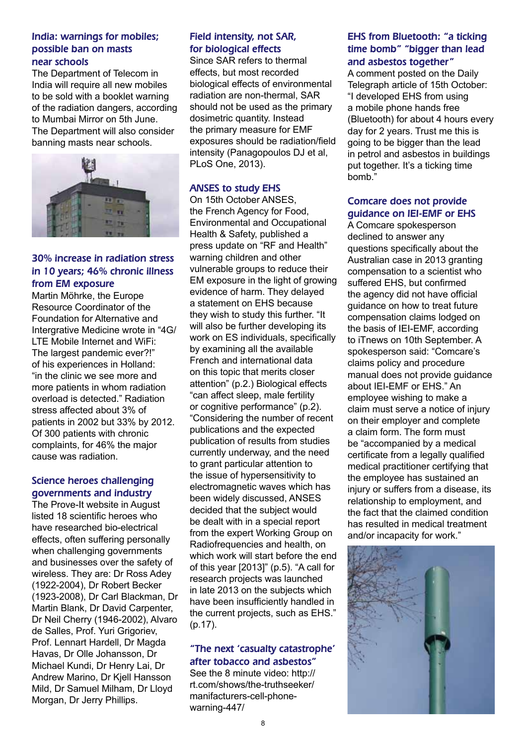#### India: warnings for mobiles; possible ban on masts near schools

The Department of Telecom in India will require all new mobiles to be sold with a booklet warning of the radiation dangers, according to Mumbai Mirror on 5th June. The Department will also consider banning masts near schools.



#### 30% increase in radiation stress in 10 years; 46% chronic illness from EM exposure

Martin Möhrke, the Europe Resource Coordinator of the Foundation for Alternative and Intergrative Medicine wrote in "4G/ LTE Mobile Internet and WiFi: The largest pandemic ever?!" of his experiences in Holland: "in the clinic we see more and more patients in whom radiation overload is detected." Radiation stress affected about 3% of patients in 2002 but 33% by 2012. Of 300 patients with chronic complaints, for 46% the major cause was radiation.

#### Science heroes challenging governments and industry

The Prove-It website in August listed 18 scientific heroes who have researched bio-electrical effects, often suffering personally when challenging governments and businesses over the safety of wireless. They are: Dr Ross Adey (1922-2004), Dr Robert Becker (1923-2008), Dr Carl Blackman, Dr Martin Blank, Dr David Carpenter, Dr Neil Cherry (1946-2002), Alvaro de Salles, Prof. Yuri Grigoriev, Prof. Lennart Hardell, Dr Magda Havas, Dr Olle Johansson, Dr Michael Kundi, Dr Henry Lai, Dr Andrew Marino, Dr Kjell Hansson Mild, Dr Samuel Milham, Dr Lloyd Morgan, Dr Jerry Phillips.

#### Field intensity, not SAR, for biological effects

Since SAR refers to thermal effects, but most recorded biological effects of environmental radiation are non-thermal, SAR should not be used as the primary dosimetric quantity. Instead the primary measure for EMF exposures should be radiation/field intensity (Panagopoulos DJ et al, PLoS One, 2013).

#### ANSES to study EHS

On 15th October ANSES, the French Agency for Food, Environmental and Occupational Health & Safety, published a press update on "RF and Health" warning children and other vulnerable groups to reduce their EM exposure in the light of growing evidence of harm. They delayed a statement on EHS because they wish to study this further. "It will also be further developing its work on ES individuals, specifically by examining all the available French and international data on this topic that merits closer attention" (p.2.) Biological effects "can affect sleep, male fertility or cognitive performance" (p.2). "Considering the number of recent publications and the expected publication of results from studies currently underway, and the need to grant particular attention to the issue of hypersensitivity to electromagnetic waves which has been widely discussed, ANSES decided that the subject would be dealt with in a special report from the expert Working Group on Radiofrequencies and health, on which work will start before the end of this year [2013]" (p.5). "A call for research projects was launched in late 2013 on the subjects which have been insufficiently handled in the current projects, such as EHS." (p.17).

#### "The next 'casualty catastrophe' after tobacco and asbestos"

See the 8 minute video: http:// rt.com/shows/the-truthseeker/ manifacturers-cell-phonewarning-447/

#### EHS from Bluetooth: "a ticking time bomb" "bigger than lead and asbestos together"

A comment posted on the Daily Telegraph article of 15th October: "I developed EHS from using a mobile phone hands free (Bluetooth) for about 4 hours every day for 2 years. Trust me this is going to be bigger than the lead in petrol and asbestos in buildings put together. It's a ticking time bomb."

#### Comcare does not provide guidance on IEI-EMF or EHS

A Comcare spokesperson declined to answer any questions specifically about the Australian case in 2013 granting compensation to a scientist who suffered EHS, but confirmed the agency did not have official guidance on how to treat future compensation claims lodged on the basis of IEI-EMF, according to iTnews on 10th September. A spokesperson said: "Comcare's claims policy and procedure manual does not provide guidance about IEI-EMF or EHS." An employee wishing to make a claim must serve a notice of injury on their employer and complete a claim form. The form must be "accompanied by a medical certificate from a legally qualified medical practitioner certifying that the employee has sustained an injury or suffers from a disease, its relationship to employment, and the fact that the claimed condition has resulted in medical treatment and/or incapacity for work."

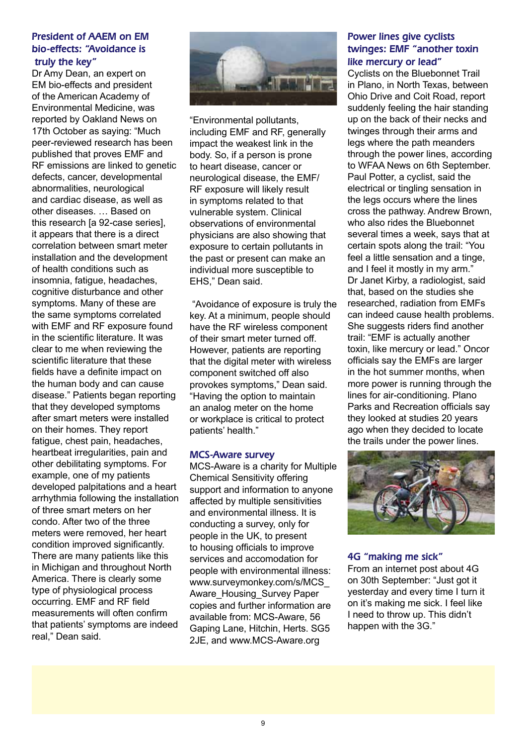#### President of AAEM on EM bio-effects: "Avoidance is truly the key"

Dr Amy Dean, an expert on EM bio-effects and president of the American Academy of Environmental Medicine, was reported by Oakland News on 17th October as saying: "Much peer-reviewed research has been published that proves EMF and RF emissions are linked to genetic defects, cancer, developmental abnormalities, neurological and cardiac disease, as well as other diseases. … Based on this research [a 92-case series], it appears that there is a direct correlation between smart meter installation and the development of health conditions such as insomnia, fatigue, headaches, cognitive disturbance and other symptoms. Many of these are the same symptoms correlated with EMF and RF exposure found in the scientific literature. It was clear to me when reviewing the scientific literature that these fields have a definite impact on the human body and can cause disease." Patients began reporting that they developed symptoms after smart meters were installed on their homes. They report fatigue, chest pain, headaches, heartbeat irregularities, pain and other debilitating symptoms. For example, one of my patients developed palpitations and a heart arrhythmia following the installation of three smart meters on her condo. After two of the three meters were removed, her heart condition improved significantly. There are many patients like this in Michigan and throughout North America. There is clearly some type of physiological process occurring. EMF and RF field measurements will often confirm that patients' symptoms are indeed real," Dean said.



"Environmental pollutants, including EMF and RF, generally impact the weakest link in the body. So, if a person is prone to heart disease, cancer or neurological disease, the EMF/ RF exposure will likely result in symptoms related to that vulnerable system. Clinical observations of environmental physicians are also showing that exposure to certain pollutants in the past or present can make an individual more susceptible to EHS," Dean said.

 "Avoidance of exposure is truly the key. At a minimum, people should have the RF wireless component of their smart meter turned off. However, patients are reporting that the digital meter with wireless component switched off also provokes symptoms," Dean said. "Having the option to maintain an analog meter on the home or workplace is critical to protect patients' health."

#### MCS-Aware survey

MCS-Aware is a charity for Multiple Chemical Sensitivity offering support and information to anyone affected by multiple sensitivities and environmental illness. It is conducting a survey, only for people in the UK, to present to housing officials to improve services and accomodation for people with environmental illness: www.surveymonkey.com/s/MCS\_ Aware\_Housing\_Survey Paper copies and further information are available from: MCS-Aware, 56 Gaping Lane, Hitchin, Herts. SG5 2JE, and www.MCS-Aware.org

#### Power lines give cyclists twinges: EMF "another toxin like mercury or lead"

Cyclists on the Bluebonnet Trail in Plano, in North Texas, between Ohio Drive and Coit Road, report suddenly feeling the hair standing up on the back of their necks and twinges through their arms and legs where the path meanders through the power lines, according to WFAA News on 6th September. Paul Potter, a cyclist, said the electrical or tingling sensation in the legs occurs where the lines cross the pathway. Andrew Brown, who also rides the Bluebonnet several times a week, says that at certain spots along the trail: "You feel a little sensation and a tinge, and I feel it mostly in my arm." Dr Janet Kirby, a radiologist, said that, based on the studies she researched, radiation from EMFs can indeed cause health problems. She suggests riders find another trail: "EMF is actually another toxin, like mercury or lead." Oncor officials say the EMFs are larger in the hot summer months, when more power is running through the lines for air-conditioning. Plano Parks and Recreation officials say they looked at studies 20 years ago when they decided to locate the trails under the power lines.



#### 4G "making me sick"

From an internet post about 4G on 30th September: "Just got it yesterday and every time I turn it on it's making me sick. I feel like I need to throw up. This didn't happen with the 3G."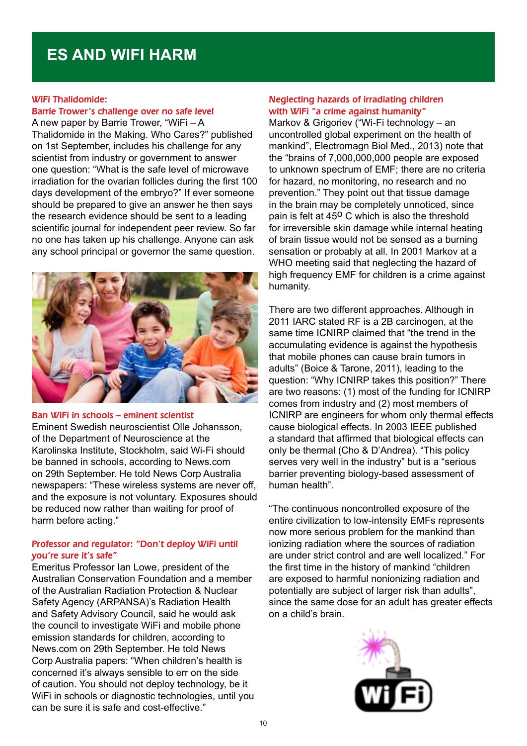### **ES AND WIFI HARM**

#### WiFi Thalidomide:

#### Barrie Trower's challenge over no safe level

A new paper by Barrie Trower, "WiFi – A Thalidomide in the Making. Who Cares?" published on 1st September, includes his challenge for any scientist from industry or government to answer one question: "What is the safe level of microwave irradiation for the ovarian follicles during the first 100 days development of the embryo?" If ever someone should be prepared to give an answer he then says the research evidence should be sent to a leading scientific journal for independent peer review. So far no one has taken up his challenge. Anyone can ask any school principal or governor the same question.



#### Ban WiFi in schools – eminent scientist

Eminent Swedish neuroscientist Olle Johansson, of the Department of Neuroscience at the Karolinska Institute, Stockholm, said Wi-Fi should be banned in schools, according to News.com on 29th September. He told News Corp Australia newspapers: "These wireless systems are never off, and the exposure is not voluntary. Exposures should be reduced now rather than waiting for proof of harm before acting."

#### Professor and regulator: "Don't deploy WiFi until you're sure it's safe"

Emeritus Professor Ian Lowe, president of the Australian Conservation Foundation and a member of the Australian Radiation Protection & Nuclear Safety Agency (ARPANSA)'s Radiation Health and Safety Advisory Council, said he would ask the council to investigate WiFi and mobile phone emission standards for children, according to News.com on 29th September. He told News Corp Australia papers: "When children's health is concerned it's always sensible to err on the side of caution. You should not deploy technology, be it WiFi in schools or diagnostic technologies, until you can be sure it is safe and cost-effective."

#### Neglecting hazards of irradiating children with WiFi "a crime against humanity"

Markov & Grigoriev ("Wi-Fi technology – an uncontrolled global experiment on the health of mankind", Electromagn Biol Med., 2013) note that the "brains of 7,000,000,000 people are exposed to unknown spectrum of EMF; there are no criteria for hazard, no monitoring, no research and no prevention." They point out that tissue damage in the brain may be completely unnoticed, since pain is felt at  $45^{\circ}$  C which is also the threshold for irreversible skin damage while internal heating of brain tissue would not be sensed as a burning sensation or probably at all. In 2001 Markov at a WHO meeting said that neglecting the hazard of high frequency EMF for children is a crime against humanity.

There are two different approaches. Although in 2011 IARC stated RF is a 2B carcinogen, at the same time ICNIRP claimed that "the trend in the accumulating evidence is against the hypothesis that mobile phones can cause brain tumors in adults" (Boice & Tarone, 2011), leading to the question: "Why ICNIRP takes this position?" There are two reasons: (1) most of the funding for ICNIRP comes from industry and (2) most members of ICNIRP are engineers for whom only thermal effects cause biological effects. In 2003 IEEE published a standard that affirmed that biological effects can only be thermal (Cho & D'Andrea). "This policy serves very well in the industry" but is a "serious barrier preventing biology-based assessment of human health".

"The continuous noncontrolled exposure of the entire civilization to low-intensity EMFs represents now more serious problem for the mankind than ionizing radiation where the sources of radiation are under strict control and are well localized." For the first time in the history of mankind "children are exposed to harmful nonionizing radiation and potentially are subject of larger risk than adults", since the same dose for an adult has greater effects on a child's brain.

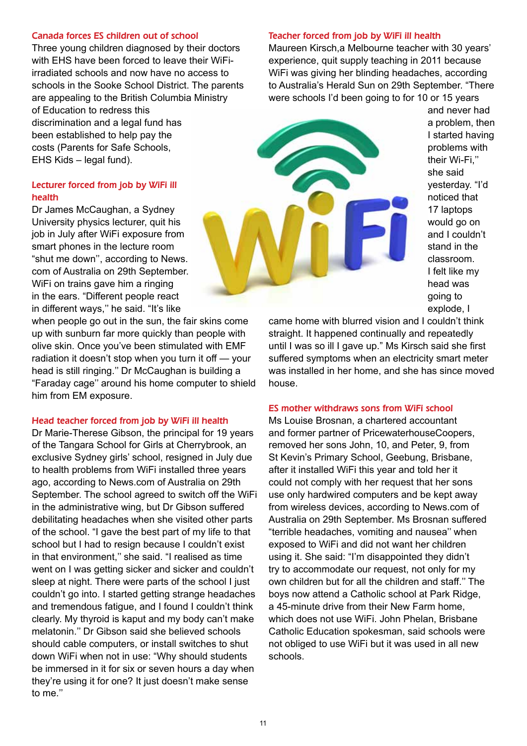#### Canada forces ES children out of school

Three young children diagnosed by their doctors with EHS have been forced to leave their WiFiirradiated schools and now have no access to schools in the Sooke School District. The parents are appealing to the British Columbia Ministry of Education to redress this discrimination and a legal fund has been established to help pay the costs (Parents for Safe Schools, EHS Kids – legal fund).

#### Lecturer forced from job by WiFi ill health

Dr James McCaughan, a Sydney University physics lecturer, quit his job in July after WiFi exposure from smart phones in the lecture room "shut me down'', according to News. com of Australia on 29th September. WiFi on trains gave him a ringing in the ears. "Different people react in different ways,'' he said. "It's like

when people go out in the sun, the fair skins come up with sunburn far more quickly than people with olive skin. Once you've been stimulated with EMF radiation it doesn't stop when you turn it off — your head is still ringing.'' Dr McCaughan is building a "Faraday cage'' around his home computer to shield him from EM exposure.

#### Head teacher forced from job by WiFi ill health

Dr Marie-Therese Gibson, the principal for 19 years of the Tangara School for Girls at Cherrybrook, an exclusive Sydney girls' school, resigned in July due to health problems from WiFi installed three years ago, according to News.com of Australia on 29th September. The school agreed to switch off the WiFi in the administrative wing, but Dr Gibson suffered debilitating headaches when she visited other parts of the school. "I gave the best part of my life to that school but I had to resign because I couldn't exist in that environment,'' she said. "I realised as time went on I was getting sicker and sicker and couldn't sleep at night. There were parts of the school I just couldn't go into. I started getting strange headaches and tremendous fatigue, and I found I couldn't think clearly. My thyroid is kaput and my body can't make melatonin.'' Dr Gibson said she believed schools should cable computers, or install switches to shut down WiFi when not in use: "Why should students be immersed in it for six or seven hours a day when they're using it for one? It just doesn't make sense to me.''

#### Teacher forced from job by WiFi ill health

Maureen Kirsch,a Melbourne teacher with 30 years' experience, quit supply teaching in 2011 because WiFi was giving her blinding headaches, according to Australia's Herald Sun on 29th September. "There were schools I'd been going to for 10 or 15 years

> and never had a problem, then I started having problems with their Wi-Fi,'' she said yesterday. "I'd noticed that 17 laptops would go on and I couldn't stand in the classroom. I felt like my head was going to explode, I

came home with blurred vision and I couldn't think straight. It happened continually and repeatedly until I was so ill I gave up." Ms Kirsch said she first suffered symptoms when an electricity smart meter was installed in her home, and she has since moved house.

#### ES mother withdraws sons from WiFi school

Ms Louise Brosnan, a chartered accountant and former partner of PricewaterhouseCoopers, removed her sons John, 10, and Peter, 9, from St Kevin's Primary School, Geebung, Brisbane, after it installed WiFi this year and told her it could not comply with her request that her sons use only hardwired computers and be kept away from wireless devices, according to News.com of Australia on 29th September. Ms Brosnan suffered "terrible headaches, vomiting and nausea'' when exposed to WiFi and did not want her children using it. She said: "I'm disappointed they didn't try to accommodate our request, not only for my own children but for all the children and staff.'' The boys now attend a Catholic school at Park Ridge, a 45-minute drive from their New Farm home, which does not use WiFi. John Phelan, Brisbane Catholic Education spokesman, said schools were not obliged to use WiFi but it was used in all new schools.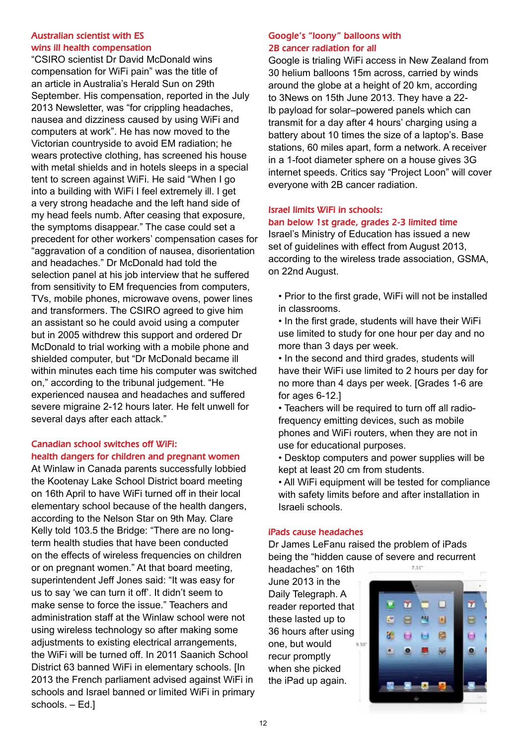#### Australian scientist with ES wins ill health compensation

"CSIRO scientist Dr David McDonald wins compensation for WiFi pain" was the title of an article in Australia's Herald Sun on 29th September. His compensation, reported in the July 2013 Newsletter, was "for crippling headaches, nausea and dizziness caused by using WiFi and computers at work". He has now moved to the Victorian countryside to avoid EM radiation; he wears protective clothing, has screened his house with metal shields and in hotels sleeps in a special tent to screen against WiFi. He said "When I go into a building with WiFi I feel extremely ill. I get a very strong headache and the left hand side of my head feels numb. After ceasing that exposure, the symptoms disappear." The case could set a precedent for other workers' compensation cases for "aggravation of a condition of nausea, disorientation and headaches." Dr McDonald had told the selection panel at his job interview that he suffered from sensitivity to EM frequencies from computers, TVs, mobile phones, microwave ovens, power lines and transformers. The CSIRO agreed to give him an assistant so he could avoid using a computer but in 2005 withdrew this support and ordered Dr McDonald to trial working with a mobile phone and shielded computer, but "Dr McDonald became ill within minutes each time his computer was switched on," according to the tribunal judgement. "He experienced nausea and headaches and suffered severe migraine 2-12 hours later. He felt unwell for several days after each attack."

#### Canadian school switches off WiFi: health dangers for children and pregnant women

At Winlaw in Canada parents successfully lobbied the Kootenay Lake School District board meeting on 16th April to have WiFi turned off in their local elementary school because of the health dangers, according to the Nelson Star on 9th May. Clare Kelly told 103.5 the Bridge: "There are no longterm health studies that have been conducted on the effects of wireless frequencies on children or on pregnant women." At that board meeting, superintendent Jeff Jones said: "It was easy for us to say 'we can turn it off'. It didn't seem to make sense to force the issue." Teachers and administration staff at the Winlaw school were not using wireless technology so after making some adjustments to existing electrical arrangements, the WiFi will be turned off. In 2011 Saanich School District 63 banned WiFi in elementary schools. [In 2013 the French parliament advised against WiFi in schools and Israel banned or limited WiFi in primary schools. – Ed.]

#### Google's "loony" balloons with 2B cancer radiation for all

Google is trialing WiFi access in New Zealand from 30 helium balloons 15m across, carried by winds around the globe at a height of 20 km, according to 3News on 15th June 2013. They have a 22 lb payload for solar–powered panels which can transmit for a day after 4 hours' charging using a battery about 10 times the size of a laptop's. Base stations, 60 miles apart, form a network. A receiver in a 1-foot diameter sphere on a house gives 3G internet speeds. Critics say "Project Loon" will cover everyone with 2B cancer radiation.

#### Israel limits WiFi in schools:

#### ban below 1st grade, grades 2-3 limited time

Israel's Ministry of Education has issued a new set of guidelines with effect from August 2013, according to the wireless trade association, GSMA, on 22nd August.

- Prior to the first grade, WiFi will not be installed in classrooms.
- In the first grade, students will have their WiFi use limited to study for one hour per day and no more than 3 days per week.
- In the second and third grades, students will have their WiFi use limited to 2 hours per day for no more than 4 days per week. [Grades 1-6 are for ages 6-12.]
- Teachers will be required to turn off all radiofrequency emitting devices, such as mobile phones and WiFi routers, when they are not in use for educational purposes.
- Desktop computers and power supplies will be kept at least 20 cm from students.
- All WiFi equipment will be tested for compliance with safety limits before and after installation in Israeli schools.

#### iPads cause headaches

Dr James LeFanu raised the problem of iPads being the "hidden cause of severe and recurrent  $7.34^{+1}$ 

headaches" on 16th June 2013 in the Daily Telegraph. A reader reported that these lasted up to 36 hours after using one, but would  $9.50^{\circ}$ recur promptly when she picked the iPad up again.

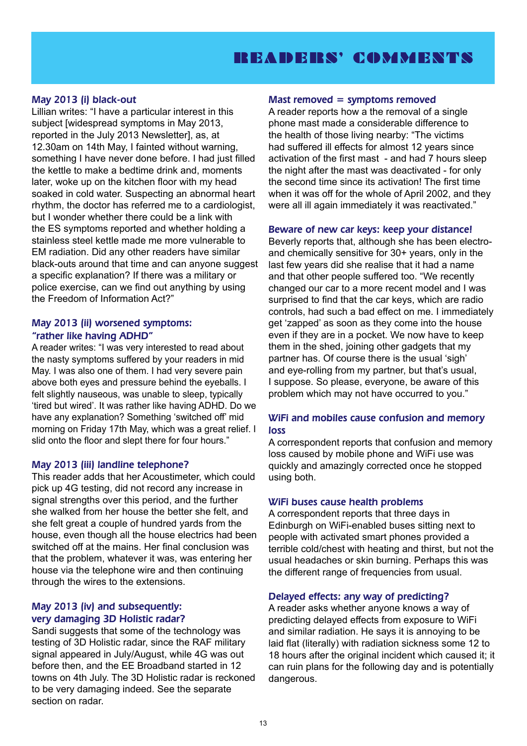### READERS' COMMENTS

#### May 2013 (i) black-out

Lillian writes: "I have a particular interest in this subject [widespread symptoms in May 2013, reported in the July 2013 Newsletter], as, at 12.30am on 14th May, I fainted without warning, something I have never done before. I had just filled the kettle to make a bedtime drink and, moments later, woke up on the kitchen floor with my head soaked in cold water. Suspecting an abnormal heart rhythm, the doctor has referred me to a cardiologist, but I wonder whether there could be a link with the ES symptoms reported and whether holding a stainless steel kettle made me more vulnerable to EM radiation. Did any other readers have similar black-outs around that time and can anyone suggest a specific explanation? If there was a military or police exercise, can we find out anything by using the Freedom of Information Act?"

#### May 2013 (ii) worsened symptoms: "rather like having ADHD"

A reader writes: "I was very interested to read about the nasty symptoms suffered by your readers in mid May. I was also one of them. I had very severe pain above both eyes and pressure behind the eyeballs. I felt slightly nauseous, was unable to sleep, typically 'tired but wired'. It was rather like having ADHD. Do we have any explanation? Something 'switched off' mid morning on Friday 17th May, which was a great relief. I slid onto the floor and slept there for four hours."

#### May 2013 (iii) landline telephone?

This reader adds that her Acoustimeter, which could pick up 4G testing, did not record any increase in signal strengths over this period, and the further she walked from her house the better she felt, and she felt great a couple of hundred yards from the house, even though all the house electrics had been switched off at the mains. Her final conclusion was that the problem, whatever it was, was entering her house via the telephone wire and then continuing through the wires to the extensions.

#### May 2013 (iv) and subsequently: very damaging 3D Holistic radar?

Sandi suggests that some of the technology was testing of 3D Holistic radar, since the RAF military signal appeared in July/August, while 4G was out before then, and the EE Broadband started in 12 towns on 4th July. The 3D Holistic radar is reckoned to be very damaging indeed. See the separate section on radar.

#### $Mast$  removed  $=$  symptoms removed

A reader reports how a the removal of a single phone mast made a considerable difference to the health of those living nearby: "The victims had suffered ill effects for almost 12 years since activation of the first mast - and had 7 hours sleep the night after the mast was deactivated - for only the second time since its activation! The first time when it was off for the whole of April 2002, and they were all ill again immediately it was reactivated."

#### Beware of new car keys: keep your distance!

Beverly reports that, although she has been electroand chemically sensitive for 30+ years, only in the last few years did she realise that it had a name and that other people suffered too. "We recently changed our car to a more recent model and I was surprised to find that the car keys, which are radio controls, had such a bad effect on me. I immediately get 'zapped' as soon as they come into the house even if they are in a pocket. We now have to keep them in the shed, joining other gadgets that my partner has. Of course there is the usual 'sigh' and eye-rolling from my partner, but that's usual, I suppose. So please, everyone, be aware of this problem which may not have occurred to you."

#### WiFi and mobiles cause confusion and memory loss

A correspondent reports that confusion and memory loss caused by mobile phone and WiFi use was quickly and amazingly corrected once he stopped using both.

#### WiFi buses cause health problems

A correspondent reports that three days in Edinburgh on WiFi-enabled buses sitting next to people with activated smart phones provided a terrible cold/chest with heating and thirst, but not the usual headaches or skin burning. Perhaps this was the different range of frequencies from usual.

#### Delayed effects: any way of predicting?

A reader asks whether anyone knows a way of predicting delayed effects from exposure to WiFi and similar radiation. He says it is annoying to be laid flat (literally) with radiation sickness some 12 to 18 hours after the original incident which caused it; it can ruin plans for the following day and is potentially dangerous.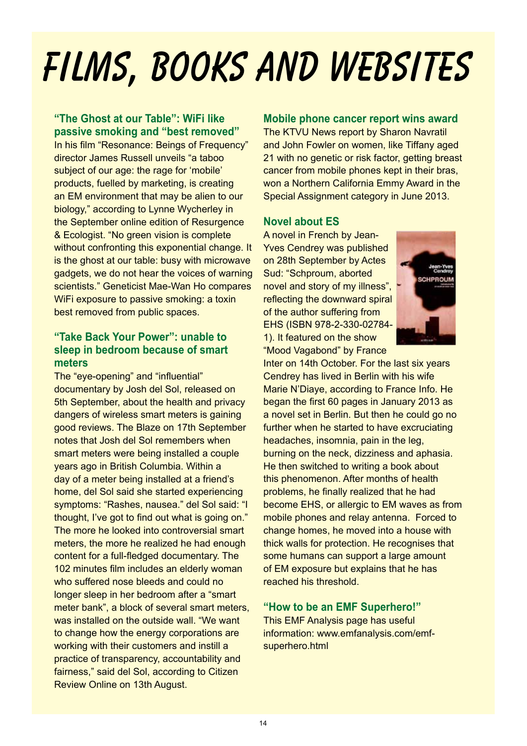# **FILMS, BOOKS AND WEBSITES**

#### **"The Ghost at our Table": WiFi like passive smoking and "best removed"**

In his film "Resonance: Beings of Frequency" director James Russell unveils "a taboo subject of our age: the rage for 'mobile' products, fuelled by marketing, is creating an EM environment that may be alien to our biology," according to Lynne Wycherley in the September online edition of Resurgence & Ecologist. "No green vision is complete without confronting this exponential change. It is the ghost at our table: busy with microwave gadgets, we do not hear the voices of warning scientists." Geneticist Mae-Wan Ho compares WiFi exposure to passive smoking: a toxin best removed from public spaces.

#### **"Take Back Your Power": unable to sleep in bedroom because of smart meters**

The "eye-opening" and "influential" documentary by Josh del Sol, released on 5th September, about the health and privacy dangers of wireless smart meters is gaining good reviews. The Blaze on 17th September notes that Josh del Sol remembers when smart meters were being installed a couple years ago in British Columbia. Within a day of a meter being installed at a friend's home, del Sol said she started experiencing symptoms: "Rashes, nausea." del Sol said: "I thought, I've got to find out what is going on." The more he looked into controversial smart meters, the more he realized he had enough content for a full-fledged documentary. The 102 minutes film includes an elderly woman who suffered nose bleeds and could no longer sleep in her bedroom after a "smart meter bank", a block of several smart meters, was installed on the outside wall. "We want to change how the energy corporations are working with their customers and instill a practice of transparency, accountability and fairness," said del Sol, according to Citizen Review Online on 13th August.

#### **Mobile phone cancer report wins award**

The KTVU News report by Sharon Navratil and John Fowler on women, like Tiffany aged 21 with no genetic or risk factor, getting breast cancer from mobile phones kept in their bras, won a Northern California Emmy Award in the Special Assignment category in June 2013.

#### **Novel about ES**

A novel in French by Jean-Yves Cendrey was published on 28th September by Actes Sud: "Schproum, aborted novel and story of my illness", reflecting the downward spiral of the author suffering from EHS (ISBN 978-2-330-02784- 1). It featured on the show "Mood Vagabond" by France



Inter on 14th October. For the last six years Cendrey has lived in Berlin with his wife Marie N'Diaye, according to France Info. He began the first 60 pages in January 2013 as a novel set in Berlin. But then he could go no further when he started to have excruciating headaches, insomnia, pain in the leg, burning on the neck, dizziness and aphasia. He then switched to writing a book about this phenomenon. After months of health problems, he finally realized that he had become EHS, or allergic to EM waves as from mobile phones and relay antenna. Forced to change homes, he moved into a house with thick walls for protection. He recognises that some humans can support a large amount of EM exposure but explains that he has reached his threshold.

#### **"How to be an EMF Superhero!"**

This EMF Analysis page has useful information: www.emfanalysis.com/emfsuperhero.html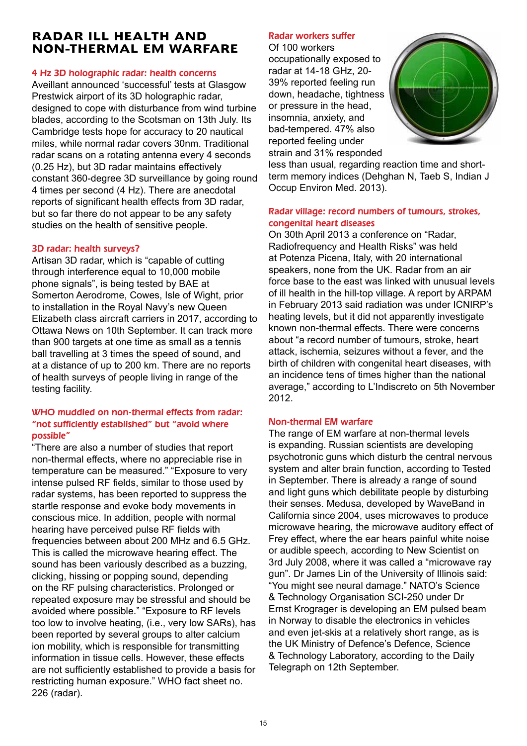#### **RADAR ILL HEALTH AND NON-THERMAL EM WARFARE**

#### 4 Hz 3D holographic radar: health concerns

Aveillant announced 'successful' tests at Glasgow Prestwick airport of its 3D holographic radar, designed to cope with disturbance from wind turbine blades, according to the Scotsman on 13th July. Its Cambridge tests hope for accuracy to 20 nautical miles, while normal radar covers 30nm. Traditional radar scans on a rotating antenna every 4 seconds (0.25 Hz), but 3D radar maintains effectively constant 360-degree 3D surveillance by going round 4 times per second (4 Hz). There are anecdotal reports of significant health effects from 3D radar, but so far there do not appear to be any safety studies on the health of sensitive people.

#### 3D radar: health surveys?

Artisan 3D radar, which is "capable of cutting through interference equal to 10,000 mobile phone signals", is being tested by BAE at Somerton Aerodrome, Cowes, Isle of Wight, prior to installation in the Royal Navy's new Queen Elizabeth class aircraft carriers in 2017, according to Ottawa News on 10th September. It can track more than 900 targets at one time as small as a tennis ball travelling at 3 times the speed of sound, and at a distance of up to 200 km. There are no reports of health surveys of people living in range of the testing facility.

#### WHO muddled on non-thermal effects from radar: "not sufficiently established" but "avoid where possible"

"There are also a number of studies that report non-thermal effects, where no appreciable rise in temperature can be measured." "Exposure to very intense pulsed RF fields, similar to those used by radar systems, has been reported to suppress the startle response and evoke body movements in conscious mice. In addition, people with normal hearing have perceived pulse RF fields with frequencies between about 200 MHz and 6.5 GHz. This is called the microwave hearing effect. The sound has been variously described as a buzzing, clicking, hissing or popping sound, depending on the RF pulsing characteristics. Prolonged or repeated exposure may be stressful and should be avoided where possible." "Exposure to RF levels too low to involve heating, (i.e., very low SARs), has been reported by several groups to alter calcium ion mobility, which is responsible for transmitting information in tissue cells. However, these effects are not sufficiently established to provide a basis for restricting human exposure." WHO fact sheet no. 226 (radar).

#### Radar workers suffer

Of 100 workers occupationally exposed to radar at 14-18 GHz, 20- 39% reported feeling run down, headache, tightness or pressure in the head, insomnia, anxiety, and bad-tempered. 47% also reported feeling under strain and 31% responded



less than usual, regarding reaction time and shortterm memory indices (Dehghan N, Taeb S, Indian J Occup Environ Med. 2013).

#### Radar village: record numbers of tumours, strokes, congenital heart diseases

On 30th April 2013 a conference on "Radar, Radiofrequency and Health Risks" was held at Potenza Picena, Italy, with 20 international speakers, none from the UK. Radar from an air force base to the east was linked with unusual levels of ill health in the hill-top village. A report by ARPAM in February 2013 said radiation was under ICNIRP's heating levels, but it did not apparently investigate known non-thermal effects. There were concerns about "a record number of tumours, stroke, heart attack, ischemia, seizures without a fever, and the birth of children with congenital heart diseases, with an incidence tens of times higher than the national average," according to L'Indiscreto on 5th November 2012.

#### Non-thermal EM warfare

The range of EM warfare at non-thermal levels is expanding. Russian scientists are developing psychotronic guns which disturb the central nervous system and alter brain function, according to Tested in September. There is already a range of sound and light guns which debilitate people by disturbing their senses. Medusa, developed by WaveBand in California since 2004, uses microwaves to produce microwave hearing, the microwave auditory effect of Frey effect, where the ear hears painful white noise or audible speech, according to New Scientist on 3rd July 2008, where it was called a "microwave ray gun". Dr James Lin of the University of Illinois said: "You might see neural damage." NATO's Science & Technology Organisation SCI-250 under Dr Ernst Krograger is developing an EM pulsed beam in Norway to disable the electronics in vehicles and even jet-skis at a relatively short range, as is the UK Ministry of Defence's Defence, Science & Technology Laboratory, according to the Daily Telegraph on 12th September.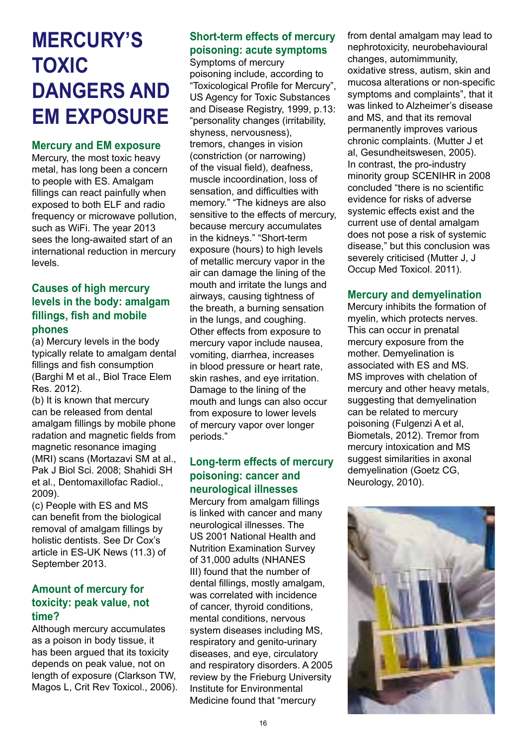# **MERCURY'S TOXIC DANGERS AND EM EXPOSURE**

#### **Mercury and EM exposure**

Mercury, the most toxic heavy metal, has long been a concern to people with ES. Amalgam fillings can react painfully when exposed to both ELF and radio frequency or microwave pollution, such as WiFi. The year 2013 sees the long-awaited start of an international reduction in mercury levels.

#### **Causes of high mercury levels in the body: amalgam fillings, fish and mobile phones**

(a) Mercury levels in the body typically relate to amalgam dental fillings and fish consumption (Barghi M et al., Biol Trace Elem Res. 2012).

(b) It is known that mercury can be released from dental amalgam fillings by mobile phone radation and magnetic fields from magnetic resonance imaging (MRI) scans (Mortazavi SM at al., Pak J Biol Sci. 2008; Shahidi SH et al., Dentomaxillofac Radiol., 2009).

(c) People with ES and MS can benefit from the biological removal of amalgam fillings by holistic dentists. See Dr Cox's article in ES-UK News (11.3) of September 2013.

#### **Amount of mercury for toxicity: peak value, not time?**

Although mercury accumulates as a poison in body tissue, it has been argued that its toxicity depends on peak value, not on length of exposure (Clarkson TW, Magos L, Crit Rev Toxicol., 2006).

#### **Short-term effects of mercury poisoning: acute symptoms**

Symptoms of mercury poisoning include, according to "Toxicological Profile for Mercury", US Agency for Toxic Substances and Disease Registry, 1999, p.13: "personality changes (irritability, shyness, nervousness), tremors, changes in vision (constriction (or narrowing) of the visual field), deafness, muscle incoordination, loss of sensation, and difficulties with memory." "The kidneys are also sensitive to the effects of mercury, because mercury accumulates in the kidneys." "Short-term exposure (hours) to high levels of metallic mercury vapor in the air can damage the lining of the mouth and irritate the lungs and airways, causing tightness of the breath, a burning sensation in the lungs, and coughing. Other effects from exposure to mercury vapor include nausea, vomiting, diarrhea, increases in blood pressure or heart rate, skin rashes, and eye irritation. Damage to the lining of the mouth and lungs can also occur from exposure to lower levels of mercury vapor over longer periods."

#### **Long-term effects of mercury poisoning: cancer and neurological illnesses**

Mercury from amalgam fillings is linked with cancer and many neurological illnesses. The US 2001 National Health and Nutrition Examination Survey of 31,000 adults (NHANES III) found that the number of dental fillings, mostly amalgam, was correlated with incidence of cancer, thyroid conditions, mental conditions, nervous system diseases including MS, respiratory and genito-urinary diseases, and eye, circulatory and respiratory disorders. A 2005 review by the Frieburg University Institute for Environmental Medicine found that "mercury

from dental amalgam may lead to nephrotoxicity, neurobehavioural changes, automimmunity, oxidative stress, autism, skin and mucosa alterations or non-specific symptoms and complaints", that it was linked to Alzheimer's disease and MS, and that its removal permanently improves various chronic complaints. (Mutter J et al, Gesundheitswesen, 2005). In contrast, the pro-industry minority group SCENIHR in 2008 concluded "there is no scientific evidence for risks of adverse systemic effects exist and the current use of dental amalgam does not pose a risk of systemic disease," but this conclusion was severely criticised (Mutter J, J Occup Med Toxicol. 2011).

#### **Mercury and demyelination**

Mercury inhibits the formation of myelin, which protects nerves. This can occur in prenatal mercury exposure from the mother. Demyelination is associated with ES and MS. MS improves with chelation of mercury and other heavy metals, suggesting that demyelination can be related to mercury poisoning (Fulgenzi A et al, Biometals, 2012). Tremor from mercury intoxication and MS suggest similarities in axonal demyelination (Goetz CG, Neurology, 2010).

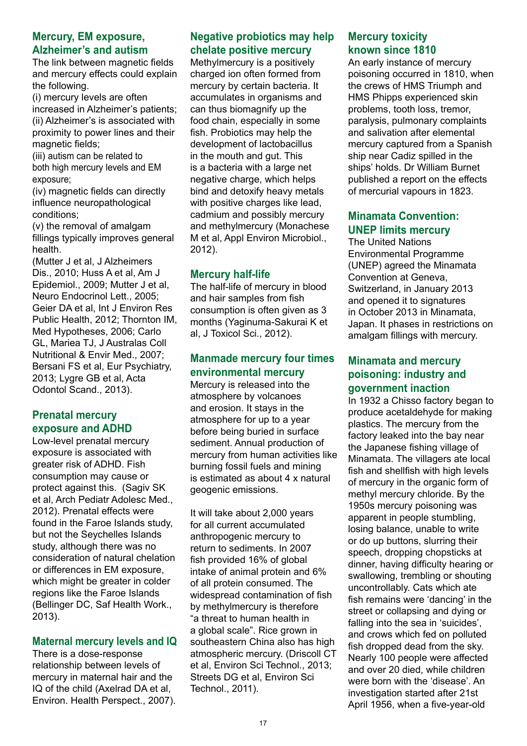#### **Mercury, EM exposure, Alzheimer's and autism**

The link between magnetic fields and mercury effects could explain the following.

(i) mercury levels are often increased in Alzheimer's patients; (ii) Alzheimer's is associated with proximity to power lines and their magnetic fields;

(iii) autism can be related to both high mercury levels and EM exposure;

(iv) magnetic fields can directly influence neuropathological conditions;

(v) the removal of amalgam fillings typically improves general health.

(Mutter J et al, J Alzheimers Dis., 2010; Huss A et al, Am J Epidemiol., 2009; Mutter J et al, Neuro Endocrinol Lett., 2005; Geier DA et al, Int J Environ Res Public Health, 2012; Thornton IM, Med Hypotheses, 2006; Carlo GL, Mariea TJ, J Australas Coll Nutritional & Envir Med., 2007; Bersani FS et al, Eur Psychiatry, 2013; Lygre GB et al, Acta Odontol Scand., 2013).

#### **Prenatal mercury exposure and ADHD**

Low-level prenatal mercury exposure is associated with greater risk of ADHD. Fish consumption may cause or protect against this. (Sagiv SK et al, Arch Pediatr Adolesc Med., 2012). Prenatal effects were found in the Faroe Islands study, but not the Seychelles Islands study, although there was no consideration of natural chelation or differences in EM exposure, which might be greater in colder regions like the Faroe Islands (Bellinger DC, Saf Health Work., 2013).

#### **Maternal mercury levels and IQ**

There is a dose-response relationship between levels of mercury in maternal hair and the IQ of the child (Axelrad DA et al, Environ. Health Perspect., 2007).

#### **Negative probiotics may help chelate positive mercury**

Methylmercury is a positively charged ion often formed from mercury by certain bacteria. It accumulates in organisms and can thus biomagnify up the food chain, especially in some fish. Probiotics may help the development of lactobacillus in the mouth and gut. This is a bacteria with a large net negative charge, which helps bind and detoxify heavy metals with positive charges like lead, cadmium and possibly mercury and methylmercury (Monachese M et al, Appl Environ Microbiol., 2012).

#### **Mercury half-life**

The half-life of mercury in blood and hair samples from fish consumption is often given as 3 months (Yaginuma-Sakurai K et al, J Toxicol Sci., 2012).

#### **Manmade mercury four times environmental mercury**

Mercury is released into the atmosphere by volcanoes and erosion. It stays in the atmosphere for up to a year before being buried in surface sediment. Annual production of mercury from human activities like burning fossil fuels and mining is estimated as about 4 x natural geogenic emissions.

It will take about 2,000 years for all current accumulated anthropogenic mercury to return to sediments. In 2007 fish provided 16% of global intake of animal protein and 6% of all protein consumed. The widespread contamination of fish by methylmercury is therefore "a threat to human health in a global scale". Rice grown in southeastern China also has high atmospheric mercury. (Driscoll CT et al, Environ Sci Technol., 2013; Streets DG et al, Environ Sci Technol., 2011).

#### **Mercury toxicity known since 1810**

An early instance of mercury poisoning occurred in 1810, when the crews of HMS Triumph and HMS Phipps experienced skin problems, tooth loss, tremor, paralysis, pulmonary complaints and salivation after elemental mercury captured from a Spanish ship near Cadiz spilled in the ships' holds. Dr William Burnet published a report on the effects of mercurial vapours in 1823.

#### **Minamata Convention: UNEP limits mercury**

The United Nations Environmental Programme (UNEP) agreed the Minamata Convention at Geneva, Switzerland, in January 2013 and opened it to signatures in October 2013 in Minamata, Japan. It phases in restrictions on amalgam fillings with mercury.

#### **Minamata and mercury poisoning: industry and government inaction**

In 1932 a Chisso factory began to produce acetaldehyde for making plastics. The mercury from the factory leaked into the bay near the Japanese fishing village of Minamata. The villagers ate local fish and shellfish with high levels of mercury in the organic form of methyl mercury chloride. By the 1950s mercury poisoning was apparent in people stumbling, losing balance, unable to write or do up buttons, slurring their speech, dropping chopsticks at dinner, having difficulty hearing or swallowing, trembling or shouting uncontrollably. Cats which ate fish remains were 'dancing' in the street or collapsing and dying or falling into the sea in 'suicides', and crows which fed on polluted fish dropped dead from the sky. Nearly 100 people were affected and over 20 died, while children were born with the 'disease'. An investigation started after 21st April 1956, when a five-year-old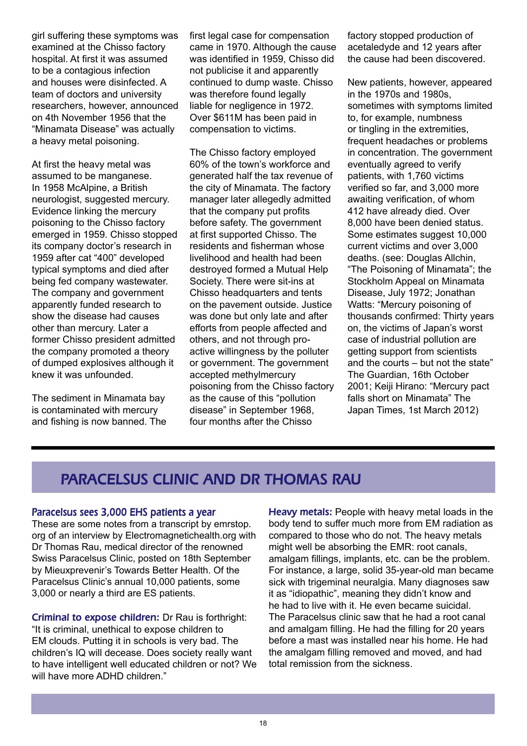girl suffering these symptoms was examined at the Chisso factory hospital. At first it was assumed to be a contagious infection and houses were disinfected. A team of doctors and university researchers, however, announced on 4th November 1956 that the "Minamata Disease" was actually a heavy metal poisoning.

At first the heavy metal was assumed to be manganese. In 1958 McAlpine, a British neurologist, suggested mercury. Evidence linking the mercury poisoning to the Chisso factory emerged in 1959. Chisso stopped its company doctor's research in 1959 after cat "400" developed typical symptoms and died after being fed company wastewater. The company and government apparently funded research to show the disease had causes other than mercury. Later a former Chisso president admitted the company promoted a theory of dumped explosives although it knew it was unfounded.

The sediment in Minamata bay is contaminated with mercury and fishing is now banned. The first legal case for compensation came in 1970. Although the cause was identified in 1959, Chisso did not publicise it and apparently continued to dump waste. Chisso was therefore found legally liable for negligence in 1972. Over \$611M has been paid in compensation to victims.

The Chisso factory employed 60% of the town's workforce and generated half the tax revenue of the city of Minamata. The factory manager later allegedly admitted that the company put profits before safety. The government at first supported Chisso. The residents and fisherman whose livelihood and health had been destroyed formed a Mutual Help Society. There were sit-ins at Chisso headquarters and tents on the pavement outside. Justice was done but only late and after efforts from people affected and others, and not through proactive willingness by the polluter or government. The government accepted methylmercury poisoning from the Chisso factory as the cause of this "pollution disease" in September 1968, four months after the Chisso

factory stopped production of acetaledyde and 12 years after the cause had been discovered.

New patients, however, appeared in the 1970s and 1980s, sometimes with symptoms limited to, for example, numbness or tingling in the extremities, frequent headaches or problems in concentration. The government eventually agreed to verify patients, with 1,760 victims verified so far, and 3,000 more awaiting verification, of whom 412 have already died. Over 8,000 have been denied status. Some estimates suggest 10,000 current victims and over 3,000 deaths. (see: Douglas Allchin, "The Poisoning of Minamata"; the Stockholm Appeal on Minamata Disease, July 1972; Jonathan Watts: "Mercury poisoning of thousands confirmed: Thirty years on, the victims of Japan's worst case of industrial pollution are getting support from scientists and the courts – but not the state" The Guardian, 16th October 2001; Keiji Hirano: "Mercury pact falls short on Minamata" The Japan Times, 1st March 2012)

### PARACELSUS CLINIC AND DR THOMAS RAU

#### Paracelsus sees 3,000 EHS patients a year

These are some notes from a transcript by emrstop. org of an interview by Electromagnetichealth.org with Dr Thomas Rau, medical director of the renowned Swiss Paracelsus Clinic, posted on 18th September by Mieuxprevenir's Towards Better Health. Of the Paracelsus Clinic's annual 10,000 patients, some 3,000 or nearly a third are ES patients.

Criminal to expose children: Dr Rau is forthright: "It is criminal, unethical to expose children to EM clouds. Putting it in schools is very bad. The children's IQ will decease. Does society really want to have intelligent well educated children or not? We will have more ADHD children."

Heavy metals: People with heavy metal loads in the body tend to suffer much more from EM radiation as compared to those who do not. The heavy metals might well be absorbing the EMR: root canals, amalgam fillings, implants, etc. can be the problem. For instance, a large, solid 35-year-old man became sick with trigeminal neuralgia. Many diagnoses saw it as "idiopathic", meaning they didn't know and he had to live with it. He even became suicidal. The Paracelsus clinic saw that he had a root canal and amalgam filling. He had the filling for 20 years before a mast was installed near his home. He had the amalgam filling removed and moved, and had total remission from the sickness.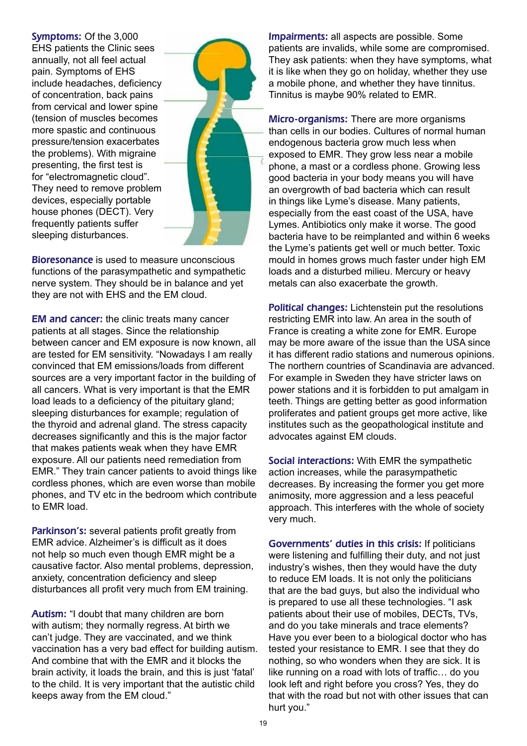Symptoms: Of the 3,000 EHS patients the Clinic sees annually, not all feel actual pain. Symptoms of EHS include headaches, deficiency of concentration, back pains from cervical and lower spine (tension of muscles becomes more spastic and continuous pressure/tension exacerbates the problems). With migraine presenting, the first test is for "electromagnetic cloud". They need to remove problem devices, especially portable house phones (DECT). Very frequently patients suffer sleeping disturbances.



Bioresonance is used to measure unconscious functions of the parasympathetic and sympathetic nerve system. They should be in balance and yet they are not with EHS and the EM cloud.

EM and cancer: the clinic treats many cancer patients at all stages. Since the relationship between cancer and EM exposure is now known, all are tested for EM sensitivity. "Nowadays I am really convinced that EM emissions/loads from different sources are a very important factor in the building of all cancers. What is very important is that the EMR load leads to a deficiency of the pituitary gland; sleeping disturbances for example; regulation of the thyroid and adrenal gland. The stress capacity decreases significantly and this is the major factor that makes patients weak when they have EMR exposure. All our patients need remediation from EMR." They train cancer patients to avoid things like cordless phones, which are even worse than mobile phones, and TV etc in the bedroom which contribute to EMR load.

Parkinson's: several patients profit greatly from EMR advice. Alzheimer's is difficult as it does not help so much even though EMR might be a causative factor. Also mental problems, depression, anxiety, concentration deficiency and sleep disturbances all profit very much from EM training.

Autism: "I doubt that many children are born with autism; they normally regress. At birth we can't judge. They are vaccinated, and we think vaccination has a very bad effect for building autism. And combine that with the EMR and it blocks the brain activity, it loads the brain, and this is just 'fatal' to the child. It is very important that the autistic child keeps away from the EM cloud."

Impairments: all aspects are possible. Some patients are invalids, while some are compromised. They ask patients: when they have symptoms, what it is like when they go on holiday, whether they use a mobile phone, and whether they have tinnitus. Tinnitus is maybe 90% related to EMR.

Micro-organisms: There are more organisms than cells in our bodies. Cultures of normal human endogenous bacteria grow much less when exposed to EMR. They grow less near a mobile phone, a mast or a cordless phone. Growing less good bacteria in your body means you will have an overgrowth of bad bacteria which can result in things like Lyme's disease. Many patients, especially from the east coast of the USA, have Lymes. Antibiotics only make it worse. The good bacteria have to be reimplanted and within 6 weeks the Lyme's patients get well or much better. Toxic mould in homes grows much faster under high EM loads and a disturbed milieu. Mercury or heavy metals can also exacerbate the growth.

Political changes: Lichtenstein put the resolutions restricting EMR into law. An area in the south of France is creating a white zone for EMR. Europe may be more aware of the issue than the USA since it has different radio stations and numerous opinions. The northern countries of Scandinavia are advanced. For example in Sweden they have stricter laws on power stations and it is forbidden to put amalgam in teeth. Things are getting better as good information proliferates and patient groups get more active, like institutes such as the geopathological institute and advocates against EM clouds.

Social interactions: With EMR the sympathetic action increases, while the parasympathetic decreases. By increasing the former you get more animosity, more aggression and a less peaceful approach. This interferes with the whole of society very much.

Governments' duties in this crisis: If politicians were listening and fulfilling their duty, and not just industry's wishes, then they would have the duty to reduce EM loads. It is not only the politicians that are the bad guys, but also the individual who is prepared to use all these technologies. "I ask patients about their use of mobiles, DECTs, TVs, and do you take minerals and trace elements? Have you ever been to a biological doctor who has tested your resistance to EMR. I see that they do nothing, so who wonders when they are sick. It is like running on a road with lots of traffic… do you look left and right before you cross? Yes, they do that with the road but not with other issues that can hurt you."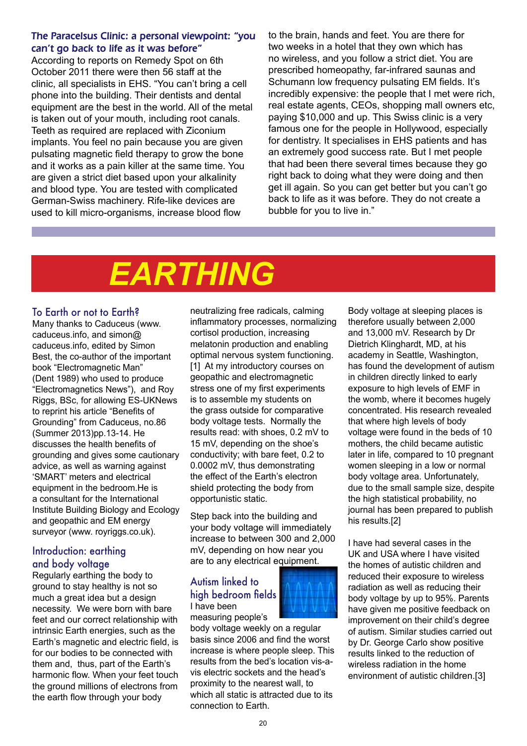#### The Paracelsus Clinic: a personal viewpoint: "you can't go back to life as it was before"

According to reports on Remedy Spot on 6th October 2011 there were then 56 staff at the clinic, all specialists in EHS. "You can't bring a cell phone into the building. Their dentists and dental equipment are the best in the world. All of the metal is taken out of your mouth, including root canals. Teeth as required are replaced with Ziconium implants. You feel no pain because you are given pulsating magnetic field therapy to grow the bone and it works as a pain killer at the same time. You are given a strict diet based upon your alkalinity and blood type. You are tested with complicated German-Swiss machinery. Rife-like devices are used to kill micro-organisms, increase blood flow

to the brain, hands and feet. You are there for two weeks in a hotel that they own which has no wireless, and you follow a strict diet. You are prescribed homeopathy, far-infrared saunas and Schumann low frequency pulsating EM fields. It's incredibly expensive: the people that I met were rich, real estate agents, CEOs, shopping mall owners etc, paying \$10,000 and up. This Swiss clinic is a very famous one for the people in Hollywood, especially for dentistry. It specialises in EHS patients and has an extremely good success rate. But I met people that had been there several times because they go right back to doing what they were doing and then get ill again. So you can get better but you can't go back to life as it was before. They do not create a bubble for you to live in."

# *EARTHING*

#### To Earth or not to Earth?

Many thanks to Caduceus (www. caduceus.info, and simon@ caduceus.info, edited by Simon Best, the co-author of the important book "Electromagnetic Man" (Dent 1989) who used to produce "Electromagnetics News"), and Roy Riggs, BSc, for allowing ES-UKNews to reprint his article "Benefits of Grounding" from Caduceus, no.86 (Summer 2013)pp.13-14. He discusses the health benefits of grounding and gives some cautionary advice, as well as warning against 'SMART' meters and electrical equipment in the bedroom.He is a consultant for the International Institute Building Biology and Ecology and geopathic and EM energy surveyor (www. royriggs.co.uk).

#### Introduction: earthing and body voltage

Regularly earthing the body to ground to stay healthy is not so much a great idea but a design necessity. We were born with bare feet and our correct relationship with intrinsic Earth energies, such as the Earth's magnetic and electric field, is for our bodies to be connected with them and, thus, part of the Earth's harmonic flow. When your feet touch the ground millions of electrons from the earth flow through your body

neutralizing free radicals, calming inflammatory processes, normalizing cortisol production, increasing melatonin production and enabling optimal nervous system functioning. [1] At my introductory courses on geopathic and electromagnetic stress one of my first experiments is to assemble my students on the grass outside for comparative body voltage tests. Normally the results read: with shoes, 0.2 mV to 15 mV, depending on the shoe's conductivity; with bare feet, 0.2 to 0.0002 mV, thus demonstrating the effect of the Earth's electron shield protecting the body from opportunistic static.

Step back into the building and your body voltage will immediately increase to between 300 and 2,000 mV, depending on how near you are to any electrical equipment.

#### Autism linked to high bedroom fields I have been measuring people's



body voltage weekly on a regular basis since 2006 and find the worst increase is where people sleep. This results from the bed's location vis-avis electric sockets and the head's proximity to the nearest wall, to which all static is attracted due to its connection to Earth.

Body voltage at sleeping places is therefore usually between 2,000 and 13,000 mV. Research by Dr Dietrich Klinghardt, MD, at his academy in Seattle, Washington, has found the development of autism in children directly linked to early exposure to high levels of EMF in the womb, where it becomes hugely concentrated. His research revealed that where high levels of body voltage were found in the beds of 10 mothers, the child became autistic later in life, compared to 10 pregnant women sleeping in a low or normal body voltage area. Unfortunately, due to the small sample size, despite the high statistical probability, no journal has been prepared to publish his results.[2]

I have had several cases in the UK and USA where I have visited the homes of autistic children and reduced their exposure to wireless radiation as well as reducing their body voltage by up to 95%. Parents have given me positive feedback on improvement on their child's degree of autism. Similar studies carried out by Dr. George Carlo show positive results linked to the reduction of wireless radiation in the home environment of autistic children.[3]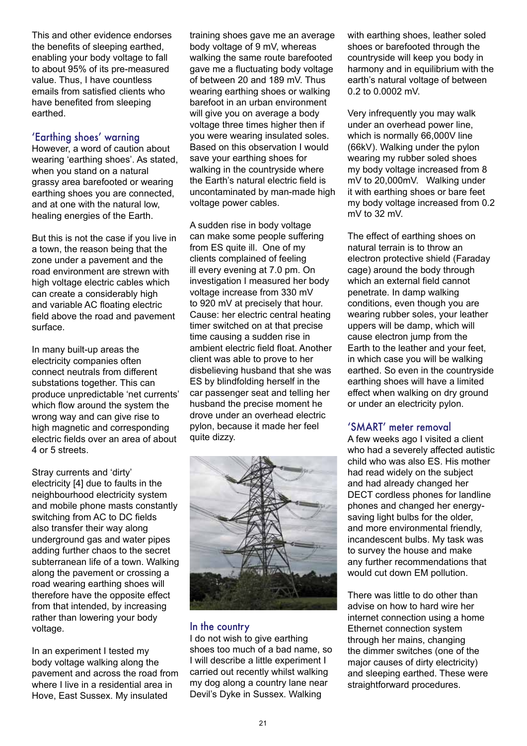This and other evidence endorses the benefits of sleeping earthed, enabling your body voltage to fall to about 95% of its pre-measured value. Thus, I have countless emails from satisfied clients who have benefited from sleeping earthed.

#### 'Earthing shoes' warning

However, a word of caution about wearing 'earthing shoes'. As stated, when you stand on a natural grassy area barefooted or wearing earthing shoes you are connected, and at one with the natural low, healing energies of the Earth.

But this is not the case if you live in a town, the reason being that the zone under a pavement and the road environment are strewn with high voltage electric cables which can create a considerably high and variable AC floating electric field above the road and pavement surface.

In many built-up areas the electricity companies often connect neutrals from different substations together. This can produce unpredictable 'net currents' which flow around the system the wrong way and can give rise to high magnetic and corresponding electric fields over an area of about 4 or 5 streets.

Stray currents and 'dirty' electricity [4] due to faults in the neighbourhood electricity system and mobile phone masts constantly switching from AC to DC fields also transfer their way along underground gas and water pipes adding further chaos to the secret subterranean life of a town. Walking along the pavement or crossing a road wearing earthing shoes will therefore have the opposite effect from that intended, by increasing rather than lowering your body voltage.

In an experiment I tested my body voltage walking along the pavement and across the road from where I live in a residential area in Hove, East Sussex. My insulated

training shoes gave me an average body voltage of 9 mV, whereas walking the same route barefooted gave me a fluctuating body voltage of between 20 and 189 mV. Thus wearing earthing shoes or walking barefoot in an urban environment will give you on average a body voltage three times higher then if you were wearing insulated soles. Based on this observation I would save your earthing shoes for walking in the countryside where the Earth's natural electric field is uncontaminated by man-made high voltage power cables.

A sudden rise in body voltage can make some people suffering from ES quite ill. One of my clients complained of feeling ill every evening at 7.0 pm. On investigation I measured her body voltage increase from 330 mV to 920 mV at precisely that hour. Cause: her electric central heating timer switched on at that precise time causing a sudden rise in ambient electric field float. Another client was able to prove to her disbelieving husband that she was ES by blindfolding herself in the car passenger seat and telling her husband the precise moment he drove under an overhead electric pylon, because it made her feel quite dizzy.



#### In the country

I do not wish to give earthing shoes too much of a bad name, so I will describe a little experiment I carried out recently whilst walking my dog along a country lane near Devil's Dyke in Sussex. Walking

with earthing shoes, leather soled shoes or barefooted through the countryside will keep you body in harmony and in equilibrium with the earth's natural voltage of between 0.2 to 0.0002 mV.

Very infrequently you may walk under an overhead power line, which is normally 66,000V line (66kV). Walking under the pylon wearing my rubber soled shoes my body voltage increased from 8 mV to 20,000mV. Walking under it with earthing shoes or bare feet my body voltage increased from 0.2 mV to 32 mV.

The effect of earthing shoes on natural terrain is to throw an electron protective shield (Faraday cage) around the body through which an external field cannot penetrate. In damp walking conditions, even though you are wearing rubber soles, your leather uppers will be damp, which will cause electron jump from the Earth to the leather and your feet, in which case you will be walking earthed. So even in the countryside earthing shoes will have a limited effect when walking on dry ground or under an electricity pylon.

#### 'SMART' meter removal

A few weeks ago I visited a client who had a severely affected autistic child who was also ES. His mother had read widely on the subject and had already changed her DECT cordless phones for landline phones and changed her energysaving light bulbs for the older, and more environmental friendly, incandescent bulbs. My task was to survey the house and make any further recommendations that would cut down EM pollution.

There was little to do other than advise on how to hard wire her internet connection using a home Ethernet connection system through her mains, changing the dimmer switches (one of the major causes of dirty electricity) and sleeping earthed. These were straightforward procedures.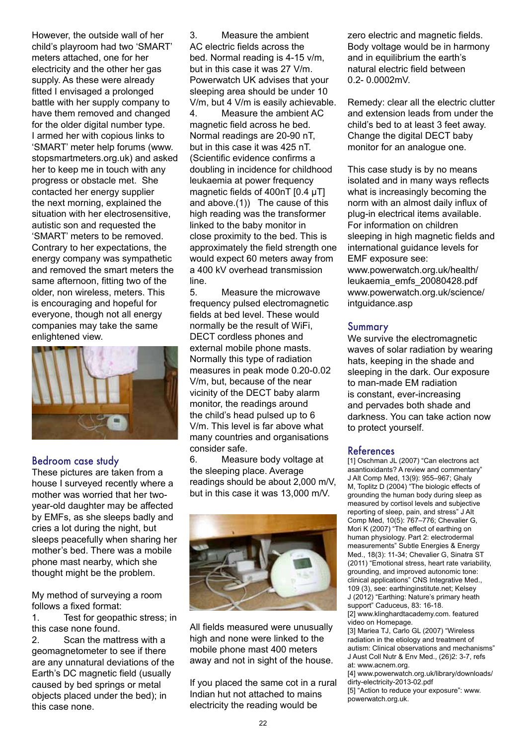However, the outside wall of her child's playroom had two 'SMART' meters attached, one for her electricity and the other her gas supply. As these were already fitted I envisaged a prolonged battle with her supply company to have them removed and changed for the older digital number type. I armed her with copious links to 'SMART' meter help forums (www. stopsmartmeters.org.uk) and asked her to keep me in touch with any progress or obstacle met. She contacted her energy supplier the next morning, explained the situation with her electrosensitive, autistic son and requested the 'SMART' meters to be removed. Contrary to her expectations, the energy company was sympathetic and removed the smart meters the same afternoon, fitting two of the older, non wireless, meters. This is encouraging and hopeful for everyone, though not all energy companies may take the same enlightened view.



#### Bedroom case study

These pictures are taken from a house I surveyed recently where a mother was worried that her twoyear-old daughter may be affected by EMFs, as she sleeps badly and cries a lot during the night, but sleeps peacefully when sharing her mother's bed. There was a mobile phone mast nearby, which she thought might be the problem.

My method of surveying a room follows a fixed format:

1. Test for geopathic stress; in this case none found.

2. Scan the mattress with a geomagnetometer to see if there are any unnatural deviations of the Earth's DC magnetic field (usually caused by bed springs or metal objects placed under the bed); in this case none.

3. Measure the ambient AC electric fields across the bed. Normal reading is 4-15 v/m, but in this case it was 27 V/m. Powerwatch UK advises that your sleeping area should be under 10 V/m, but 4 V/m is easily achievable. 4. Measure the ambient AC magnetic field across he bed. Normal readings are 20-90 nT, but in this case it was 425 nT. (Scientific evidence confirms a doubling in incidence for childhood leukaemia at power frequency magnetic fields of 400nT [0.4 µT] and above.(1)) The cause of this high reading was the transformer linked to the baby monitor in close proximity to the bed. This is approximately the field strength one would expect 60 meters away from a 400 kV overhead transmission line.

5. Measure the microwave frequency pulsed electromagnetic fields at bed level. These would normally be the result of WiFi, DECT cordless phones and external mobile phone masts. Normally this type of radiation measures in peak mode 0.20-0.02 V/m, but, because of the near vicinity of the DECT baby alarm monitor, the readings around the child's head pulsed up to 6 V/m. This level is far above what many countries and organisations consider safe.

6. Measure body voltage at the sleeping place. Average readings should be about 2,000 m/V, but in this case it was 13,000 m/V.



All fields measured were unusually high and none were linked to the mobile phone mast 400 meters away and not in sight of the house.

If you placed the same cot in a rural Indian hut not attached to mains electricity the reading would be

zero electric and magnetic fields. Body voltage would be in harmony and in equilibrium the earth's natural electric field between 0.2- 0.0002mV.

Remedy: clear all the electric clutter and extension leads from under the child's bed to at least 3 feet away. Change the digital DECT baby monitor for an analogue one.

This case study is by no means isolated and in many ways reflects what is increasingly becoming the norm with an almost daily influx of plug-in electrical items available. For information on children sleeping in high magnetic fields and international guidance levels for EMF exposure see: www.powerwatch.org.uk/health/ leukaemia\_emfs\_20080428.pdf www.powerwatch.org.uk/science/ intguidance.asp

#### Summary

We survive the electromagnetic waves of solar radiation by wearing hats, keeping in the shade and sleeping in the dark. Our exposure to man-made EM radiation is constant, ever-increasing and pervades both shade and darkness. You can take action now to protect yourself.

#### References

[1] Oschman JL (2007) "Can electrons act asantioxidants? A review and commentary" J Alt Comp Med, 13(9): 955–967; Ghaly M, Toplitz D (2004) "The biologic effects of grounding the human body during sleep as measured by cortisol levels and subjective reporting of sleep, pain, and stress" J Alt Comp Med, 10(5): 767–776; Chevalier G, Mori K (2007) "The effect of earthing on human physiology. Part 2: electrodermal measurements" Subtle Energies & Energy Med., 18(3): 11-34; Chevalier G, Sinatra ST (2011) "Emotional stress, heart rate variability, grounding, and improved autonomic tone: clinical applications" CNS Integrative Med., 109 (3), see: earthinginstitute.net; Kelsey J (2012) "Earthing: Nature's primary heath support" Caduceus, 83: 16-18. [2] www.klinghardtacademy.com. featured video on Homepage.

[3] Mariea TJ, Carlo GL (2007) "Wireless radiation in the etiology and treatment of autism: Clinical observations and mechanisms" J Aust Coll Nutr & Env Med., (26)2: 3-7, refs at: www.acnem.org.

[4] www.powerwatch.org.uk/library/downloads/ dirty-electricity-2013-02.pdf

[5] "Action to reduce your exposure": www. powerwatch.org.uk.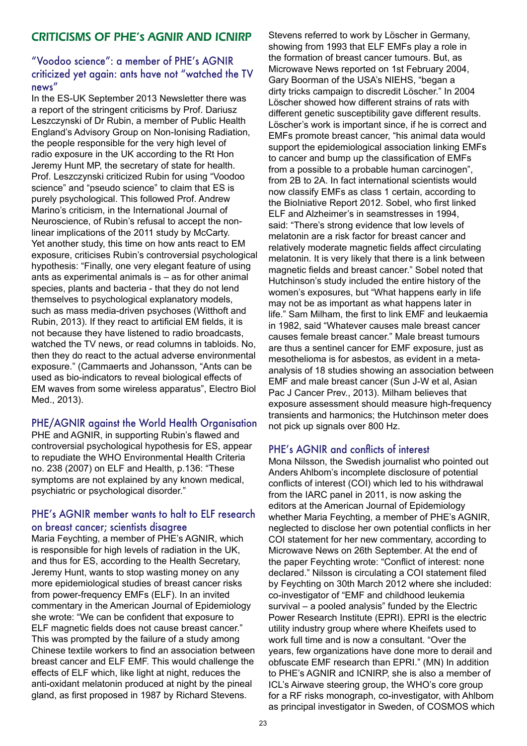#### CRITICISMS OF PHE's AGNIR AND ICNIRP

#### "Voodoo science": a member of PHE's AGNIR criticized yet again: ants have not "watched the TV news"

In the ES-UK September 2013 Newsletter there was a report of the stringent criticisms by Prof. Dariusz Leszczynski of Dr Rubin, a member of Public Health England's Advisory Group on Non-Ionising Radiation, the people responsible for the very high level of radio exposure in the UK according to the Rt Hon Jeremy Hunt MP, the secretary of state for health. Prof. Leszczynski criticized Rubin for using "Voodoo science" and "pseudo science" to claim that ES is purely psychological. This followed Prof. Andrew Marino's criticism, in the International Journal of Neuroscience, of Rubin's refusal to accept the nonlinear implications of the 2011 study by McCarty. Yet another study, this time on how ants react to EM exposure, criticises Rubin's controversial psychological hypothesis: "Finally, one very elegant feature of using ants as experimental animals is – as for other animal species, plants and bacteria - that they do not lend themselves to psychological explanatory models, such as mass media-driven psychoses (Witthoft and Rubin, 2013). If they react to artificial EM fields, it is not because they have listened to radio broadcasts, watched the TV news, or read columns in tabloids. No, then they do react to the actual adverse environmental exposure." (Cammaerts and Johansson, "Ants can be used as bio-indicators to reveal biological effects of EM waves from some wireless apparatus", Electro Biol Med., 2013).

#### PHE/AGNIR against the World Health Organisation

PHE and AGNIR, in supporting Rubin's flawed and controversial psychological hypothesis for ES, appear to repudiate the WHO Environmental Health Criteria no. 238 (2007) on ELF and Health, p.136: "These symptoms are not explained by any known medical, psychiatric or psychological disorder."

#### PHE's AGNIR member wants to halt to ELF research on breast cancer; scientists disagree

Maria Feychting, a member of PHE's AGNIR, which is responsible for high levels of radiation in the UK, and thus for ES, according to the Health Secretary, Jeremy Hunt, wants to stop wasting money on any more epidemiological studies of breast cancer risks from power-frequency EMFs (ELF). In an invited commentary in the American Journal of Epidemiology she wrote: "We can be confident that exposure to ELF magnetic fields does not cause breast cancer." This was prompted by the failure of a study among Chinese textile workers to find an association between breast cancer and ELF EMF. This would challenge the effects of ELF which, like light at night, reduces the anti-oxidant melatonin produced at night by the pineal gland, as first proposed in 1987 by Richard Stevens.

Stevens referred to work by Löscher in Germany, showing from 1993 that ELF EMFs play a role in the formation of breast cancer tumours. But, as Microwave News reported on 1st February 2004, Gary Boorman of the USA's NIEHS, "began a dirty tricks campaign to discredit Lӧscher." In 2004 Lӧscher showed how different strains of rats with different genetic susceptibility gave different results. Löscher's work is important since, if he is correct and EMFs promote breast cancer, "his animal data would support the epidemiological association linking EMFs to cancer and bump up the classification of EMFs from a possible to a probable human carcinogen", from 2B to 2A. In fact international scientists would now classify EMFs as class 1 certain, according to the BioIniative Report 2012. Sobel, who first linked ELF and Alzheimer's in seamstresses in 1994, said: "There's strong evidence that low levels of melatonin are a risk factor for breast cancer and relatively moderate magnetic fields affect circulating melatonin. It is very likely that there is a link between magnetic fields and breast cancer." Sobel noted that Hutchinson's study included the entire history of the women's exposures, but "What happens early in life may not be as important as what happens later in life." Sam Milham, the first to link EMF and leukaemia in 1982, said "Whatever causes male breast cancer causes female breast cancer." Male breast tumours are thus a sentinel cancer for EMF exposure, just as mesothelioma is for asbestos, as evident in a metaanalysis of 18 studies showing an association between EMF and male breast cancer (Sun J-W et al, Asian Pac J Cancer Prev., 2013). Milham believes that exposure assessment should measure high-frequency transients and harmonics; the Hutchinson meter does not pick up signals over 800 Hz.

#### PHE's AGNIR and conflicts of interest

Mona Nilsson, the Swedish journalist who pointed out Anders Ahlbom's incomplete disclosure of potential conflicts of interest (COI) which led to his withdrawal from the IARC panel in 2011, is now asking the editors at the American Journal of Epidemiology whether Maria Feychting, a member of PHE's AGNIR, neglected to disclose her own potential conflicts in her COI statement for her new commentary, according to Microwave News on 26th September. At the end of the paper Feychting wrote: "Conflict of interest: none declared." Nilsson is circulating a COI statement filed by Feychting on 30th March 2012 where she included: co-investigator of "EMF and childhood leukemia survival – a pooled analysis" funded by the Electric Power Research Institute (EPRI). EPRI is the electric utility industry group where where Kheifets used to work full time and is now a consultant. "Over the years, few organizations have done more to derail and obfuscate EMF research than EPRI." (MN) In addition to PHE's AGNIR and ICNIRP, she is also a member of ICL's Airwave steering group, the WHO's core group for a RF risks monograph, co-investigator, with Ahlbom as principal investigator in Sweden, of COSMOS which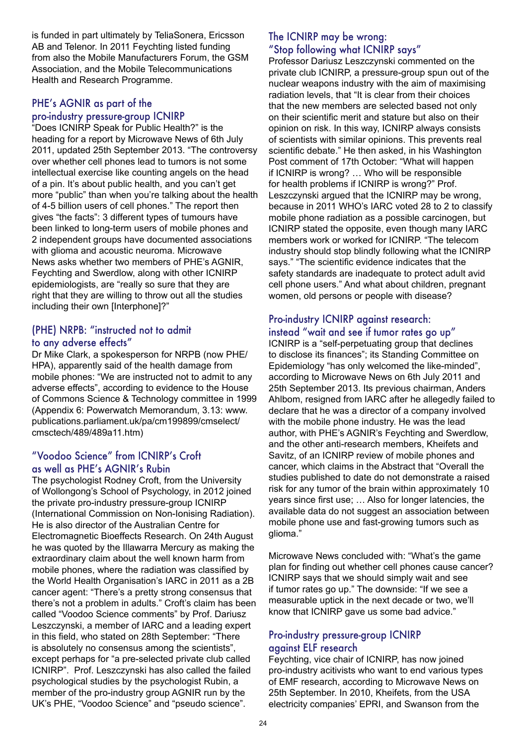is funded in part ultimately by TeliaSonera, Ericsson AB and Telenor. In 2011 Feychting listed funding from also the Mobile Manufacturers Forum, the GSM Association, and the Mobile Telecommunications Health and Research Programme.

#### PHE's AGNIR as part of the pro-industry pressure-group ICNIRP

"Does ICNIRP Speak for Public Health?" is the heading for a report by Microwave News of 6th July 2011, updated 25th September 2013. "The controversy over whether cell phones lead to tumors is not some intellectual exercise like counting angels on the head of a pin. It's about public health, and you can't get more "public" than when you're talking about the health of 4-5 billion users of cell phones." The report then gives "the facts": 3 different types of tumours have been linked to long-term users of mobile phones and 2 independent groups have documented associations with glioma and acoustic neuroma. Microwave News asks whether two members of PHE's AGNIR, Feychting and Swerdlow, along with other ICNIRP epidemiologists, are "really so sure that they are right that they are willing to throw out all the studies including their own [Interphone]?"

#### (PHE) NRPB: "instructed not to admit to any adverse effects"

Dr Mike Clark, a spokesperson for NRPB (now PHE/ HPA), apparently said of the health damage from mobile phones: "We are instructed not to admit to any adverse effects", according to evidence to the House of Commons Science & Technology committee in 1999 (Appendix 6: Powerwatch Memorandum, 3.13: www. publications.parliament.uk/pa/cm199899/cmselect/ cmsctech/489/489a11.htm)

#### "Voodoo Science" from ICNIRP's Croft as well as PHE's AGNIR's Rubin

The psychologist Rodney Croft, from the University of Wollongong's School of Psychology, in 2012 joined the private pro-industry pressure-group ICNIRP (International Commission on Non-Ionising Radiation). He is also director of the Australian Centre for Electromagnetic Bioeffects Research. On 24th August he was quoted by the Illawarra Mercury as making the extraordinary claim about the well known harm from mobile phones, where the radiation was classified by the World Health Organisation's IARC in 2011 as a 2B cancer agent: "There's a pretty strong consensus that there's not a problem in adults." Croft's claim has been called "Voodoo Science comments" by Prof. Dariusz Leszczynski, a member of IARC and a leading expert in this field, who stated on 28th September: "There is absolutely no consensus among the scientists", except perhaps for "a pre-selected private club called ICNIRP". Prof. Leszczynski has also called the failed psychological studies by the psychologist Rubin, a member of the pro-industry group AGNIR run by the UK's PHE, "Voodoo Science" and "pseudo science".

#### The ICNIRP may be wrong: "Stop following what ICNIRP says"

Professor Dariusz Leszczynski commented on the private club ICNIRP, a pressure-group spun out of the nuclear weapons industry with the aim of maximising radiation levels, that "It is clear from their choices that the new members are selected based not only on their scientific merit and stature but also on their opinion on risk. In this way, ICNIRP always consists of scientists with similar opinions. This prevents real scientific debate." He then asked, in his Washington Post comment of 17th October: "What will happen if ICNIRP is wrong? … Who will be responsible for health problems if ICNIRP is wrong?" Prof. Leszczynski argued that the ICNIRP may be wrong, because in 2011 WHO's IARC voted 28 to 2 to classify mobile phone radiation as a possible carcinogen, but ICNIRP stated the opposite, even though many IARC members work or worked for ICNIRP. "The telecom industry should stop blindly following what the ICNIRP says." "The scientific evidence indicates that the safety standards are inadequate to protect adult avid cell phone users." And what about children, pregnant women, old persons or people with disease?

#### Pro-industry ICNIRP against research: instead "wait and see if tumor rates go up"

ICNIRP is a "self-perpetuating group that declines to disclose its finances"; its Standing Committee on Epidemiology "has only welcomed the like-minded", according to Microwave News on 6th July 2011 and 25th September 2013. Its previous chairman, Anders Ahlbom, resigned from IARC after he allegedly failed to declare that he was a director of a company involved with the mobile phone industry. He was the lead author, with PHE's AGNIR's Feychting and Swerdlow, and the other anti-research members, Kheifets and Savitz, of an ICNIRP review of mobile phones and cancer, which claims in the Abstract that "Overall the studies published to date do not demonstrate a raised risk for any tumor of the brain within approximately 10 years since first use; … Also for longer latencies, the available data do not suggest an association between mobile phone use and fast-growing tumors such as glioma."

Microwave News concluded with: "What's the game plan for finding out whether cell phones cause cancer? ICNIRP says that we should simply wait and see if tumor rates go up." The downside: "If we see a measurable uptick in the next decade or two, we'll know that ICNIRP gave us some bad advice."

#### Pro-industry pressure-group ICNIRP against ELF research

Feychting, vice chair of ICNIRP, has now joined pro-industry acitivists who want to end various types of EMF research, according to Microwave News on 25th September. In 2010, Kheifets, from the USA electricity companies' EPRI, and Swanson from the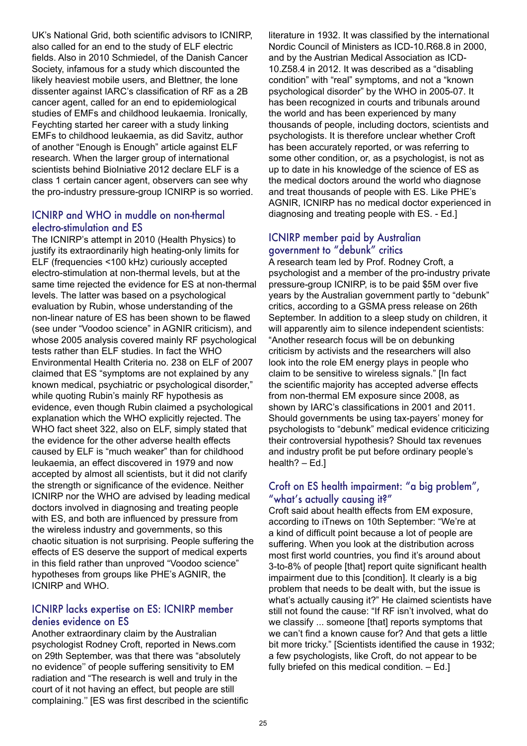UK's National Grid, both scientific advisors to ICNIRP, also called for an end to the study of ELF electric fields. Also in 2010 Schmiedel, of the Danish Cancer Society, infamous for a study which discounted the likely heaviest mobile users, and Blettner, the lone dissenter against IARC's classification of RF as a 2B cancer agent, called for an end to epidemiological studies of EMFs and childhood leukaemia. Ironically, Feychting started her career with a study linking EMFs to childhood leukaemia, as did Savitz, author of another "Enough is Enough" article against ELF research. When the larger group of international scientists behind BioIniative 2012 declare ELF is a class 1 certain cancer agent, observers can see why the pro-industry pressure-group ICNIRP is so worried.

#### ICNIRP and WHO in muddle on non-thermal electro-stimulation and ES

The ICNIRP's attempt in 2010 (Health Physics) to justify its extraordinarily high heating-only limits for ELF (frequencies <100 kHz) curiously accepted electro-stimulation at non-thermal levels, but at the same time rejected the evidence for ES at non-thermal levels. The latter was based on a psychological evaluation by Rubin, whose understanding of the non-linear nature of ES has been shown to be flawed (see under "Voodoo science" in AGNIR criticism), and whose 2005 analysis covered mainly RF psychological tests rather than ELF studies. In fact the WHO Environmental Health Criteria no. 238 on ELF of 2007 claimed that ES "symptoms are not explained by any known medical, psychiatric or psychological disorder," while quoting Rubin's mainly RF hypothesis as evidence, even though Rubin claimed a psychological explanation which the WHO explicitly rejected. The WHO fact sheet 322, also on ELF, simply stated that the evidence for the other adverse health effects caused by ELF is "much weaker" than for childhood leukaemia, an effect discovered in 1979 and now accepted by almost all scientists, but it did not clarify the strength or significance of the evidence. Neither ICNIRP nor the WHO are advised by leading medical doctors involved in diagnosing and treating people with ES, and both are influenced by pressure from the wireless industry and governments, so this chaotic situation is not surprising. People suffering the effects of ES deserve the support of medical experts in this field rather than unproved "Voodoo science" hypotheses from groups like PHE's AGNIR, the ICNIRP and WHO.

#### ICNIRP lacks expertise on ES: ICNIRP member denies evidence on ES

Another extraordinary claim by the Australian psychologist Rodney Croft, reported in News.com on 29th September, was that there was "absolutely no evidence'' of people suffering sensitivity to EM radiation and "The research is well and truly in the court of it not having an effect, but people are still complaining.'' [ES was first described in the scientific literature in 1932. It was classified by the international Nordic Council of Ministers as ICD-10.R68.8 in 2000, and by the Austrian Medical Association as ICD-10.Z58.4 in 2012. It was described as a "disabling condition" with "real" symptoms, and not a "known psychological disorder" by the WHO in 2005-07. It has been recognized in courts and tribunals around the world and has been experienced by many thousands of people, including doctors, scientists and psychologists. It is therefore unclear whether Croft has been accurately reported, or was referring to some other condition, or, as a psychologist, is not as up to date in his knowledge of the science of ES as the medical doctors around the world who diagnose and treat thousands of people with ES. Like PHE's AGNIR, ICNIRP has no medical doctor experienced in diagnosing and treating people with ES. - Ed.]

#### ICNIRP member paid by Australian government to "debunk" critics

A research team led by Prof. Rodney Croft, a psychologist and a member of the pro-industry private pressure-group ICNIRP, is to be paid \$5M over five years by the Australian government partly to "debunk" critics, according to a GSMA press release on 26th September. In addition to a sleep study on children, it will apparently aim to silence independent scientists: "Another research focus will be on debunking criticism by activists and the researchers will also look into the role EM energy plays in people who claim to be sensitive to wireless signals." [In fact the scientific majority has accepted adverse effects from non-thermal EM exposure since 2008, as shown by IARC's classifications in 2001 and 2011. Should governments be using tax-payers' money for psychologists to "debunk" medical evidence criticizing their controversial hypothesis? Should tax revenues and industry profit be put before ordinary people's health? – Ed.]

#### Croft on ES health impairment: "a big problem", "what's actually causing it?"

Croft said about health effects from EM exposure, according to iTnews on 10th September: "We're at a kind of difficult point because a lot of people are suffering. When you look at the distribution across most first world countries, you find it's around about 3-to-8% of people [that] report quite significant health impairment due to this [condition]. It clearly is a big problem that needs to be dealt with, but the issue is what's actually causing it?" He claimed scientists have still not found the cause: "If RF isn't involved, what do we classify ... someone [that] reports symptoms that we can't find a known cause for? And that gets a little bit more tricky." [Scientists identified the cause in 1932; a few psychologists, like Croft, do not appear to be fully briefed on this medical condition. – Ed.]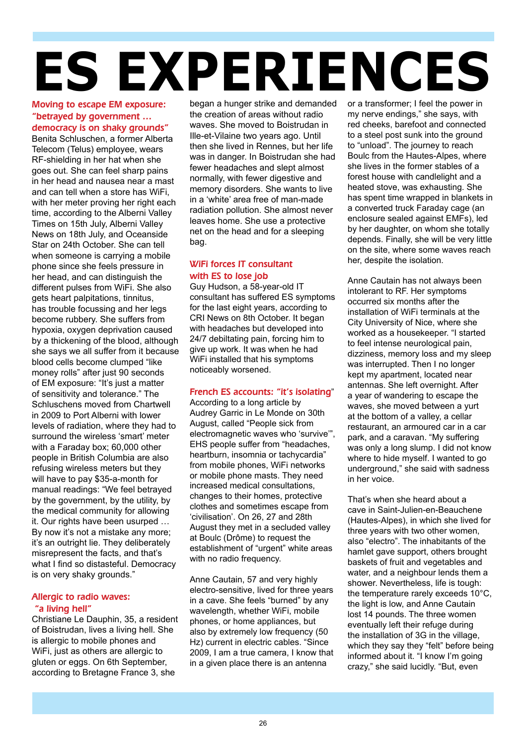# **ES EXPERIENCES**

#### Moving to escape EM exposure: "betrayed by government … democracy is on shaky grounds"

Benita Schluschen, a former Alberta Telecom (Telus) employee, wears RF-shielding in her hat when she goes out. She can feel sharp pains in her head and nausea near a mast and can tell when a store has WiFi, with her meter proving her right each time, according to the Alberni Valley Times on 15th July, Alberni Valley News on 18th July, and Oceanside Star on 24th October. She can tell when someone is carrying a mobile phone since she feels pressure in her head, and can distinguish the different pulses from WiFi. She also gets heart palpitations, tinnitus, has trouble focussing and her legs become rubbery. She suffers from hypoxia, oxygen deprivation caused by a thickening of the blood, although she says we all suffer from it because blood cells become clumped "like money rolls" after just 90 seconds of EM exposure: "It's just a matter of sensitivity and tolerance." The Schluschens moved from Chartwell in 2009 to Port Alberni with lower levels of radiation, where they had to surround the wireless 'smart' meter with a Faraday box; 60,000 other people in British Columbia are also refusing wireless meters but they will have to pay \$35-a-month for manual readings: "We feel betrayed by the government, by the utility, by the medical community for allowing it. Our rights have been usurped … By now it's not a mistake any more; it's an outright lie. They deliberately misrepresent the facts, and that's what I find so distasteful. Democracy is on very shaky grounds."

#### Allergic to radio waves: "a living hell"

Christiane Le Dauphin, 35, a resident of Boistrudan, lives a living hell. She is allergic to mobile phones and WiFi, just as others are allergic to gluten or eggs. On 6th September, according to Bretagne France 3, she

began a hunger strike and demanded the creation of areas without radio waves. She moved to Boistrudan in Ille-et-Vilaine two years ago. Until then she lived in Rennes, but her life was in danger. In Boistrudan she had fewer headaches and slept almost normally, with fewer digestive and memory disorders. She wants to live in a 'white' area free of man-made radiation pollution. She almost never leaves home. She use a protective net on the head and for a sleeping bag.

#### WiFi forces IT consultant with ES to lose job

Guy Hudson, a 58-year-old IT consultant has suffered ES symptoms for the last eight years, according to CRI News on 8th October. It began with headaches but developed into 24/7 debiltating pain, forcing him to give up work. It was when he had WiFi installed that his symptoms noticeably worsened.

#### French ES accounts: "it's isolating"

According to a long article by Audrey Garric in Le Monde on 30th August, called "People sick from electromagnetic waves who 'survive'", EHS people suffer from "headaches, heartburn, insomnia or tachycardia" from mobile phones, WiFi networks or mobile phone masts. They need increased medical consultations, changes to their homes, protective clothes and sometimes escape from 'civilisation'. On 26, 27 and 28th August they met in a secluded valley at Boulc (Drôme) to request the establishment of "urgent" white areas with no radio frequency.

Anne Cautain, 57 and very highly electro-sensitive, lived for three years in a cave. She feels "burned" by any wavelength, whether WiFi, mobile phones, or home appliances, but also by extremely low frequency (50 Hz) current in electric cables. "Since 2009, I am a true camera, I know that in a given place there is an antenna

or a transformer; I feel the power in my nerve endings," she says, with red cheeks, barefoot and connected to a steel post sunk into the ground to "unload". The journey to reach Boulc from the Hautes-Alpes, where she lives in the former stables of a forest house with candlelight and a heated stove, was exhausting. She has spent time wrapped in blankets in a converted truck Faraday cage (an enclosure sealed against EMFs), led by her daughter, on whom she totally depends. Finally, she will be very little on the site, where some waves reach her, despite the isolation.

Anne Cautain has not always been intolerant to RF. Her symptoms occurred six months after the installation of WiFi terminals at the City University of Nice, where she worked as a housekeeper. "I started to feel intense neurological pain, dizziness, memory loss and my sleep was interrupted. Then I no longer kept my apartment, located near antennas. She left overnight. After a year of wandering to escape the waves, she moved between a yurt at the bottom of a valley, a cellar restaurant, an armoured car in a car park, and a caravan. "My suffering was only a long slump. I did not know where to hide myself. I wanted to go underground," she said with sadness in her voice.

That's when she heard about a cave in Saint-Julien-en-Beauchene (Hautes-Alpes), in which she lived for three years with two other women, also "electro". The inhabitants of the hamlet gave support, others brought baskets of fruit and vegetables and water, and a neighbour lends them a shower. Nevertheless, life is tough: the temperature rarely exceeds 10°C, the light is low, and Anne Cautain lost 14 pounds. The three women eventually left their refuge during the installation of 3G in the village, which they say they "felt" before being informed about it. "I know I'm going crazy," she said lucidly. "But, even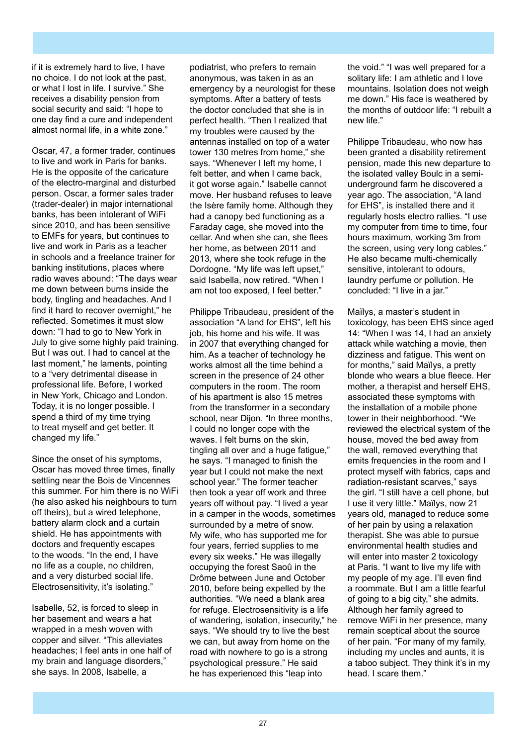if it is extremely hard to live, I have no choice. I do not look at the past, or what I lost in life. I survive." She receives a disability pension from social security and said: "I hope to one day find a cure and independent almost normal life, in a white zone."

Oscar, 47, a former trader, continues to live and work in Paris for banks. He is the opposite of the caricature of the electro-marginal and disturbed person. Oscar, a former sales trader (trader-dealer) in major international banks, has been intolerant of WiFi since 2010, and has been sensitive to EMFs for years, but continues to live and work in Paris as a teacher in schools and a freelance trainer for banking institutions, places where radio waves abound: "The days wear me down between burns inside the body, tingling and headaches. And I find it hard to recover overnight," he reflected. Sometimes it must slow down: "I had to go to New York in July to give some highly paid training. But I was out. I had to cancel at the last moment," he laments, pointing to a "very detrimental disease in professional life. Before, I worked in New York, Chicago and London. Today, it is no longer possible. I spend a third of my time trying to treat myself and get better. It changed my life."

Since the onset of his symptoms, Oscar has moved three times, finally settling near the Bois de Vincennes this summer. For him there is no WiFi (he also asked his neighbours to turn off theirs), but a wired telephone, battery alarm clock and a curtain shield. He has appointments with doctors and frequently escapes to the woods. "In the end, I have no life as a couple, no children, and a very disturbed social life. Electrosensitivity, it's isolating."

Isabelle, 52, is forced to sleep in her basement and wears a hat wrapped in a mesh woven with copper and silver. "This alleviates headaches; I feel ants in one half of my brain and language disorders," she says. In 2008, Isabelle, a

podiatrist, who prefers to remain anonymous, was taken in as an emergency by a neurologist for these symptoms. After a battery of tests the doctor concluded that she is in perfect health. "Then I realized that my troubles were caused by the antennas installed on top of a water tower 130 metres from home," she says. "Whenever I left my home, I felt better, and when I came back, it got worse again." Isabelle cannot move. Her husband refuses to leave the Isère family home. Although they had a canopy bed functioning as a Faraday cage, she moved into the cellar. And when she can, she flees her home, as between 2011 and 2013, where she took refuge in the Dordogne. "My life was left upset," said Isabella, now retired. "When I am not too exposed, I feel better."

Philippe Tribaudeau, president of the association "A land for EHS", left his job, his home and his wife. It was in 2007 that everything changed for him. As a teacher of technology he works almost all the time behind a screen in the presence of 24 other computers in the room. The room of his apartment is also 15 metres from the transformer in a secondary school, near Dijon. "In three months, I could no longer cope with the waves. I felt burns on the skin, tingling all over and a huge fatique." he says. "I managed to finish the year but I could not make the next school year." The former teacher then took a year off work and three years off without pay. "I lived a year in a camper in the woods, sometimes surrounded by a metre of snow. My wife, who has supported me for four years, ferried supplies to me every six weeks." He was illegally occupying the forest Saoû in the Drôme between June and October 2010, before being expelled by the authorities. "We need a blank area for refuge. Electrosensitivity is a life of wandering, isolation, insecurity," he says. "We should try to live the best we can, but away from home on the road with nowhere to go is a strong psychological pressure." He said he has experienced this "leap into

the void." "I was well prepared for a solitary life: I am athletic and I love mountains. Isolation does not weigh me down." His face is weathered by the months of outdoor life: "I rebuilt a new life."

Philippe Tribaudeau, who now has been granted a disability retirement pension, made this new departure to the isolated valley Boulc in a semiunderground farm he discovered a year ago. The association, "A land for EHS", is installed there and it regularly hosts electro rallies. "I use my computer from time to time, four hours maximum, working 3m from the screen, using very long cables." He also became multi-chemically sensitive, intolerant to odours. laundry perfume or pollution. He concluded: "I live in a jar."

Maïlys, a master's student in toxicology, has been EHS since aged 14: "When I was 14, I had an anxiety attack while watching a movie, then dizziness and fatigue. This went on for months," said Maïlys, a pretty blonde who wears a blue fleece. Her mother, a therapist and herself EHS, associated these symptoms with the installation of a mobile phone tower in their neighborhood. "We reviewed the electrical system of the house, moved the bed away from the wall, removed everything that emits frequencies in the room and I protect myself with fabrics, caps and radiation-resistant scarves," says the girl. "I still have a cell phone, but I use it very little." Maïlys, now 21 years old, managed to reduce some of her pain by using a relaxation therapist. She was able to pursue environmental health studies and will enter into master 2 toxicology at Paris. "I want to live my life with my people of my age. I'll even find a roommate. But I am a little fearful of going to a big city," she admits. Although her family agreed to remove WiFi in her presence, many remain sceptical about the source of her pain. "For many of my family, including my uncles and aunts, it is a taboo subject. They think it's in my head. I scare them."